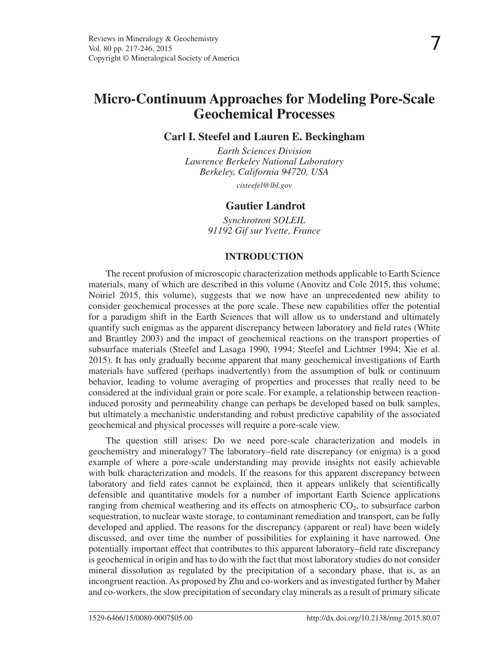# **Micro-Continuum Approaches for Modeling Pore-Scale Geochemical Processes**

# **Carl I. Steefel and Lauren E. Beckingham**

*Earth Sciences Division Lawrence Berkeley National Laboratory Berkeley, California 94720, USA*

*cisteefel@lbl.gov*

# **Gautier Landrot**

*Synchrotron SOLEIL 91192 Gif sur Yvette, France*

# **INTRODUCTION**

The recent profusion of microscopic characterization methods applicable to Earth Science materials, many of which are described in this volume (Anovitz and Cole 2015, this volume; Noiriel 2015, this volume), suggests that we now have an unprecedented new ability to consider geochemical processes at the pore scale. These new capabilities offer the potential for a paradigm shift in the Earth Sciences that will allow us to understand and ultimately quantify such enigmas as the apparent discrepancy between laboratory and field rates (White and Brantley 2003) and the impact of geochemical reactions on the transport properties of subsurface materials (Steefel and Lasaga 1990, 1994; Steefel and Lichtner 1994; Xie et al. 2015). It has only gradually become apparent that many geochemical investigations of Earth materials have suffered (perhaps inadvertently) from the assumption of bulk or continuum behavior, leading to volume averaging of properties and processes that really need to be considered at the individual grain or pore scale. For example, a relationship between reactioninduced porosity and permeability change can perhaps be developed based on bulk samples, but ultimately a mechanistic understanding and robust predictive capability of the associated geochemical and physical processes will require a pore-scale view.

The question still arises: Do we need pore-scale characterization and models in geochemistry and mineralogy? The laboratory–field rate discrepancy (or enigma) is a good example of where a pore-scale understanding may provide insights not easily achievable with bulk characterization and models. If the reasons for this apparent discrepancy between laboratory and field rates cannot be explained, then it appears unlikely that scientifically defensible and quantitative models for a number of important Earth Science applications ranging from chemical weathering and its effects on atmospheric  $CO<sub>2</sub>$ , to subsurface carbon sequestration, to nuclear waste storage, to contaminant remediation and transport, can be fully developed and applied. The reasons for the discrepancy (apparent or real) have been widely discussed, and over time the number of possibilities for explaining it have narrowed. One potentially important effect that contributes to this apparent laboratory–field rate discrepancy is geochemical in origin and has to do with the fact that most laboratory studies do not consider mineral dissolution as regulated by the precipitation of a secondary phase, that is, as an incongruent reaction. As proposed by Zhu and co-workers and as investigated further by Maher and co-workers, the slow precipitation of secondary clay minerals as a result of primary silicate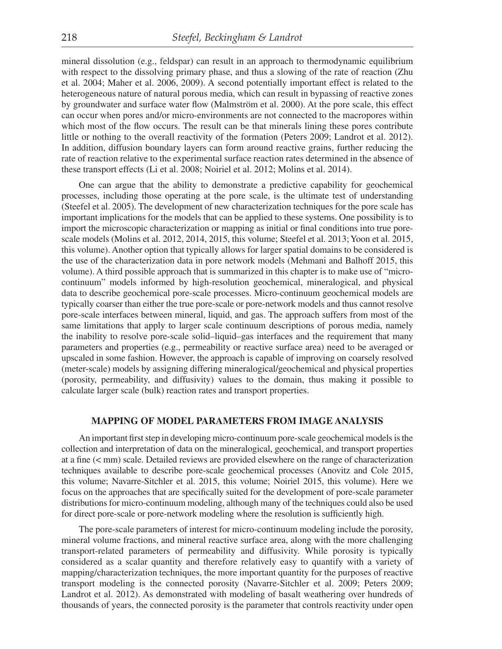mineral dissolution (e.g., feldspar) can result in an approach to thermodynamic equilibrium with respect to the dissolving primary phase, and thus a slowing of the rate of reaction (Zhu et al. 2004; Maher et al. 2006, 2009). A second potentially important effect is related to the heterogeneous nature of natural porous media, which can result in bypassing of reactive zones by groundwater and surface water flow (Malmström et al. 2000). At the pore scale, this effect can occur when pores and/or micro-environments are not connected to the macropores within which most of the flow occurs. The result can be that minerals lining these pores contribute little or nothing to the overall reactivity of the formation (Peters 2009; Landrot et al. 2012). In addition, diffusion boundary layers can form around reactive grains, further reducing the rate of reaction relative to the experimental surface reaction rates determined in the absence of these transport effects (Li et al. 2008; Noiriel et al. 2012; Molins et al. 2014).

One can argue that the ability to demonstrate a predictive capability for geochemical processes, including those operating at the pore scale, is the ultimate test of understanding (Steefel et al. 2005). The development of new characterization techniques for the pore scale has important implications for the models that can be applied to these systems. One possibility is to import the microscopic characterization or mapping as initial or final conditions into true porescale models (Molins et al. 2012, 2014, 2015, this volume; Steefel et al. 2013; Yoon et al. 2015, this volume). Another option that typically allows for larger spatial domains to be considered is the use of the characterization data in pore network models (Mehmani and Balhoff 2015, this volume). A third possible approach that is summarized in this chapter is to make use of "microcontinuum" models informed by high-resolution geochemical, mineralogical, and physical data to describe geochemical pore-scale processes. Micro-continuum geochemical models are typically coarser than either the true pore-scale or pore-network models and thus cannot resolve pore-scale interfaces between mineral, liquid, and gas. The approach suffers from most of the same limitations that apply to larger scale continuum descriptions of porous media, namely the inability to resolve pore-scale solid–liquid–gas interfaces and the requirement that many parameters and properties (e.g., permeability or reactive surface area) need to be averaged or upscaled in some fashion. However, the approach is capable of improving on coarsely resolved (meter-scale) models by assigning differing mineralogical/geochemical and physical properties (porosity, permeability, and diffusivity) values to the domain, thus making it possible to calculate larger scale (bulk) reaction rates and transport properties.

# **MAPPING OF MODEL PARAMETERS FROM IMAGE ANALYSIS**

An important first step in developing micro-continuum pore-scale geochemical models is the collection and interpretation of data on the mineralogical, geochemical, and transport properties at a fine  $(<$  mm) scale. Detailed reviews are provided elsewhere on the range of characterization techniques available to describe pore-scale geochemical processes (Anovitz and Cole 2015, this volume; Navarre-Sitchler et al. 2015, this volume; Noiriel 2015, this volume). Here we focus on the approaches that are specifically suited for the development of pore-scale parameter distributions for micro-continuum modeling, although many of the techniques could also be used for direct pore-scale or pore-network modeling where the resolution is sufficiently high.

The pore-scale parameters of interest for micro-continuum modeling include the porosity, mineral volume fractions, and mineral reactive surface area, along with the more challenging transport-related parameters of permeability and diffusivity. While porosity is typically considered as a scalar quantity and therefore relatively easy to quantify with a variety of mapping/characterization techniques, the more important quantity for the purposes of reactive transport modeling is the connected porosity (Navarre-Sitchler et al. 2009; Peters 2009; Landrot et al. 2012). As demonstrated with modeling of basalt weathering over hundreds of thousands of years, the connected porosity is the parameter that controls reactivity under open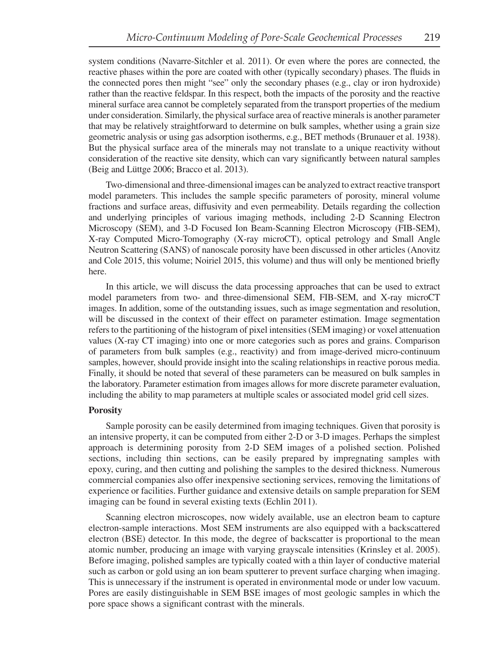system conditions (Navarre-Sitchler et al. 2011). Or even where the pores are connected, the reactive phases within the pore are coated with other (typically secondary) phases. The fluids in the connected pores then might "see" only the secondary phases (e.g., clay or iron hydroxide) rather than the reactive feldspar. In this respect, both the impacts of the porosity and the reactive mineral surface area cannot be completely separated from the transport properties of the medium under consideration. Similarly, the physical surface area of reactive minerals is another parameter that may be relatively straightforward to determine on bulk samples, whether using a grain size geometric analysis or using gas adsorption isotherms, e.g., BET methods (Brunauer et al. 1938). But the physical surface area of the minerals may not translate to a unique reactivity without consideration of the reactive site density, which can vary significantly between natural samples (Beig and Lüttge 2006; Bracco et al. 2013).

Two-dimensional and three-dimensional images can be analyzed to extract reactive transport model parameters. This includes the sample specific parameters of porosity, mineral volume fractions and surface areas, diffusivity and even permeability. Details regarding the collection and underlying principles of various imaging methods, including 2-D Scanning Electron Microscopy (SEM), and 3-D Focused Ion Beam-Scanning Electron Microscopy (FIB-SEM), X-ray Computed Micro-Tomography (X-ray microCT), optical petrology and Small Angle Neutron Scattering (SANS) of nanoscale porosity have been discussed in other articles (Anovitz and Cole 2015, this volume; Noiriel 2015, this volume) and thus will only be mentioned briefly here.

In this article, we will discuss the data processing approaches that can be used to extract model parameters from two- and three-dimensional SEM, FIB-SEM, and X-ray microCT images. In addition, some of the outstanding issues, such as image segmentation and resolution, will be discussed in the context of their effect on parameter estimation. Image segmentation refers to the partitioning of the histogram of pixel intensities (SEM imaging) or voxel attenuation values (X-ray CT imaging) into one or more categories such as pores and grains. Comparison of parameters from bulk samples (e.g., reactivity) and from image-derived micro-continuum samples, however, should provide insight into the scaling relationships in reactive porous media. Finally, it should be noted that several of these parameters can be measured on bulk samples in the laboratory. Parameter estimation from images allows for more discrete parameter evaluation, including the ability to map parameters at multiple scales or associated model grid cell sizes.

### **Porosity**

Sample porosity can be easily determined from imaging techniques. Given that porosity is an intensive property, it can be computed from either 2-D or 3-D images. Perhaps the simplest approach is determining porosity from 2-D SEM images of a polished section. Polished sections, including thin sections, can be easily prepared by impregnating samples with epoxy, curing, and then cutting and polishing the samples to the desired thickness. Numerous commercial companies also offer inexpensive sectioning services, removing the limitations of experience or facilities. Further guidance and extensive details on sample preparation for SEM imaging can be found in several existing texts (Echlin 2011).

Scanning electron microscopes, now widely available, use an electron beam to capture electron-sample interactions. Most SEM instruments are also equipped with a backscattered electron (BSE) detector. In this mode, the degree of backscatter is proportional to the mean atomic number, producing an image with varying grayscale intensities (Krinsley et al. 2005). Before imaging, polished samples are typically coated with a thin layer of conductive material such as carbon or gold using an ion beam sputterer to prevent surface charging when imaging. This is unnecessary if the instrument is operated in environmental mode or under low vacuum. Pores are easily distinguishable in SEM BSE images of most geologic samples in which the pore space shows a significant contrast with the minerals.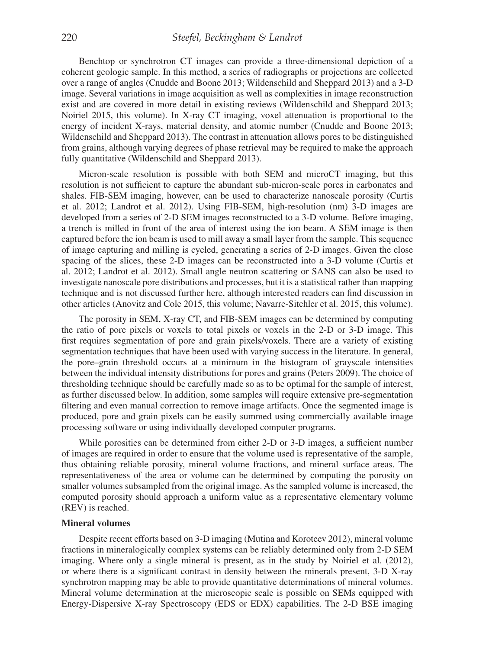Benchtop or synchrotron CT images can provide a three-dimensional depiction of a coherent geologic sample. In this method, a series of radiographs or projections are collected over a range of angles (Cnudde and Boone 2013; Wildenschild and Sheppard 2013) and a 3-D image. Several variations in image acquisition as well as complexities in image reconstruction exist and are covered in more detail in existing reviews (Wildenschild and Sheppard 2013; Noiriel 2015, this volume). In X-ray CT imaging, voxel attenuation is proportional to the energy of incident X-rays, material density, and atomic number (Cnudde and Boone 2013; Wildenschild and Sheppard 2013). The contrast in attenuation allows pores to be distinguished from grains, although varying degrees of phase retrieval may be required to make the approach fully quantitative (Wildenschild and Sheppard 2013).

Micron-scale resolution is possible with both SEM and microCT imaging, but this resolution is not sufficient to capture the abundant sub-micron-scale pores in carbonates and shales. FIB-SEM imaging, however, can be used to characterize nanoscale porosity (Curtis et al. 2012; Landrot et al. 2012). Using FIB-SEM, high-resolution (nm) 3-D images are developed from a series of 2-D SEM images reconstructed to a 3-D volume. Before imaging, a trench is milled in front of the area of interest using the ion beam. A SEM image is then captured before the ion beam is used to mill away a small layer from the sample. This sequence of image capturing and milling is cycled, generating a series of 2-D images. Given the close spacing of the slices, these 2-D images can be reconstructed into a 3-D volume (Curtis et al. 2012; Landrot et al. 2012). Small angle neutron scattering or SANS can also be used to investigate nanoscale pore distributions and processes, but it is a statistical rather than mapping technique and is not discussed further here, although interested readers can find discussion in other articles (Anovitz and Cole 2015, this volume; Navarre-Sitchler et al. 2015, this volume).

The porosity in SEM, X-ray CT, and FIB-SEM images can be determined by computing the ratio of pore pixels or voxels to total pixels or voxels in the 2-D or 3-D image. This first requires segmentation of pore and grain pixels/voxels. There are a variety of existing segmentation techniques that have been used with varying success in the literature. In general, the pore–grain threshold occurs at a minimum in the histogram of grayscale intensities between the individual intensity distributions for pores and grains (Peters 2009). The choice of thresholding technique should be carefully made so as to be optimal for the sample of interest, as further discussed below. In addition, some samples will require extensive pre-segmentation filtering and even manual correction to remove image artifacts. Once the segmented image is produced, pore and grain pixels can be easily summed using commercially available image processing software or using individually developed computer programs.

While porosities can be determined from either 2-D or 3-D images, a sufficient number of images are required in order to ensure that the volume used is representative of the sample, thus obtaining reliable porosity, mineral volume fractions, and mineral surface areas. The representativeness of the area or volume can be determined by computing the porosity on smaller volumes subsampled from the original image. As the sampled volume is increased, the computed porosity should approach a uniform value as a representative elementary volume (REV) is reached.

#### **Mineral volumes**

Despite recent efforts based on 3-D imaging (Mutina and Koroteev 2012), mineral volume fractions in mineralogically complex systems can be reliably determined only from 2-D SEM imaging. Where only a single mineral is present, as in the study by Noiriel et al. (2012), or where there is a significant contrast in density between the minerals present, 3-D X-ray synchrotron mapping may be able to provide quantitative determinations of mineral volumes. Mineral volume determination at the microscopic scale is possible on SEMs equipped with Energy-Dispersive X-ray Spectroscopy (EDS or EDX) capabilities. The 2-D BSE imaging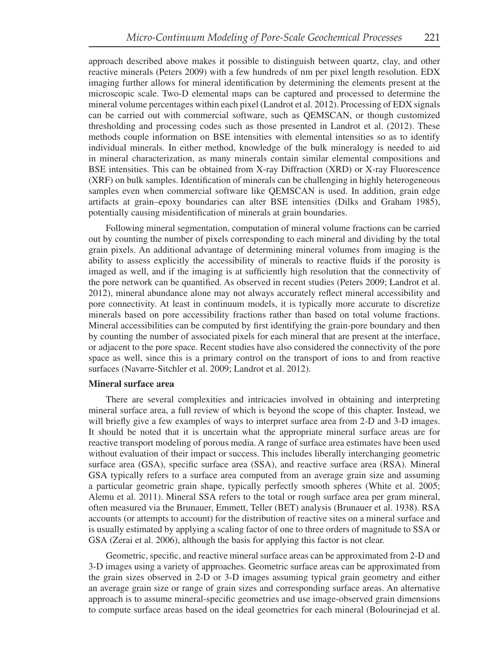approach described above makes it possible to distinguish between quartz, clay, and other reactive minerals (Peters 2009) with a few hundreds of nm per pixel length resolution. EDX imaging further allows for mineral identification by determining the elements present at the microscopic scale. Two-D elemental maps can be captured and processed to determine the mineral volume percentages within each pixel (Landrot et al. 2012). Processing of EDX signals can be carried out with commercial software, such as QEMSCAN, or though customized thresholding and processing codes such as those presented in Landrot et al. (2012). These methods couple information on BSE intensities with elemental intensities so as to identify individual minerals. In either method, knowledge of the bulk mineralogy is needed to aid in mineral characterization, as many minerals contain similar elemental compositions and BSE intensities. This can be obtained from X-ray Diffraction (XRD) or X-ray Fluorescence (XRF) on bulk samples. Identification of minerals can be challenging in highly heterogeneous samples even when commercial software like QEMSCAN is used. In addition, grain edge artifacts at grain–epoxy boundaries can alter BSE intensities (Dilks and Graham 1985), potentially causing misidentification of minerals at grain boundaries.

Following mineral segmentation, computation of mineral volume fractions can be carried out by counting the number of pixels corresponding to each mineral and dividing by the total grain pixels. An additional advantage of determining mineral volumes from imaging is the ability to assess explicitly the accessibility of minerals to reactive fluids if the porosity is imaged as well, and if the imaging is at sufficiently high resolution that the connectivity of the pore network can be quantified. As observed in recent studies (Peters 2009; Landrot et al. 2012), mineral abundance alone may not always accurately reflect mineral accessibility and pore connectivity. At least in continuum models, it is typically more accurate to discretize minerals based on pore accessibility fractions rather than based on total volume fractions. Mineral accessibilities can be computed by first identifying the grain-pore boundary and then by counting the number of associated pixels for each mineral that are present at the interface, or adjacent to the pore space. Recent studies have also considered the connectivity of the pore space as well, since this is a primary control on the transport of ions to and from reactive surfaces (Navarre-Sitchler et al. 2009; Landrot et al. 2012).

#### **Mineral surface area**

There are several complexities and intricacies involved in obtaining and interpreting mineral surface area, a full review of which is beyond the scope of this chapter. Instead, we will briefly give a few examples of ways to interpret surface area from 2-D and 3-D images. It should be noted that it is uncertain what the appropriate mineral surface areas are for reactive transport modeling of porous media. A range of surface area estimates have been used without evaluation of their impact or success. This includes liberally interchanging geometric surface area (GSA), specific surface area (SSA), and reactive surface area (RSA). Mineral GSA typically refers to a surface area computed from an average grain size and assuming a particular geometric grain shape, typically perfectly smooth spheres (White et al. 2005; Alemu et al. 2011). Mineral SSA refers to the total or rough surface area per gram mineral, often measured via the Brunauer, Emmett, Teller (BET) analysis (Brunauer et al. 1938). RSA accounts (or attempts to account) for the distribution of reactive sites on a mineral surface and is usually estimated by applying a scaling factor of one to three orders of magnitude to SSA or GSA (Zerai et al. 2006), although the basis for applying this factor is not clear.

Geometric, specific, and reactive mineral surface areas can be approximated from 2-D and 3-D images using a variety of approaches. Geometric surface areas can be approximated from the grain sizes observed in 2-D or 3-D images assuming typical grain geometry and either an average grain size or range of grain sizes and corresponding surface areas. An alternative approach is to assume mineral-specific geometries and use image-observed grain dimensions to compute surface areas based on the ideal geometries for each mineral (Bolourinejad et al.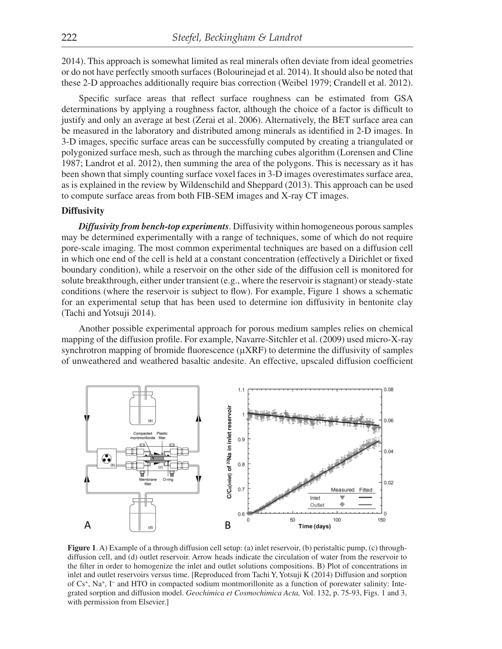2014). This approach is somewhat limited as real minerals often deviate from ideal geometries or do not have perfectly smooth surfaces (Bolourinejad et al. 2014). It should also be noted that these 2-D approaches additionally require bias correction (Weibel 1979; Crandell et al. 2012).

Specific surface areas that reflect surface roughness can be estimated from GSA determinations by applying a roughness factor, although the choice of a factor is difficult to justify and only an average at best (Zerai et al. 2006). Alternatively, the BET surface area can be measured in the laboratory and distributed among minerals as identified in 2-D images. In 3-D images, specific surface areas can be successfully computed by creating a triangulated or polygonized surface mesh, such as through the marching cubes algorithm (Lorensen and Cline 1987; Landrot et al. 2012), then summing the area of the polygons. This is necessary as it has been shown that simply counting surface voxel faces in 3-D images overestimates surface area, as is explained in the review by Wildenschild and Sheppard (2013). This approach can be used to compute surface areas from both FIB-SEM images and X-ray CT images.

#### **Diffusivity**

 *Diffusivity from bench-top experiments.* Diffusivity within homogeneous porous samples may be determined experimentally with a range of techniques, some of which do not require pore-scale imaging. The most common experimental techniques are based on a diffusion cell in which one end of the cell is held at a constant concentration (effectively a Dirichlet or fixed boundary condition), while a reservoir on the other side of the diffusion cell is monitored for solute breakthrough, either under transient (e.g., where the reservoir is stagnant) or steady-state conditions (where the reservoir is subject to flow). For example, Figure 1 shows a schematic for an experimental setup that has been used to determine ion diffusivity in bentonite clay (Tachi and Yotsuji 2014).

 Another possible experimental approach for porous medium samples relies on chemical mapping of the diffusion profile. For example, Navarre-Sitchler et al. (2009) used micro-X-ray synchrotron mapping of bromide fluorescence  $(\mu XRF)$  to determine the diffusivity of samples of unweathered and weathered basaltic andesite. An effective, upscaled diffusion coefficient



**Figure 1.** A) Example of a through diffusion cell setup: (a) inlet reservoir, (b) peristaltic pump, (c) throughdiffusion cell, and (d) outlet reservoir. Arrow heads indicate the circulation of water from the reservoir to the filter in order to homogenize the inlet and outlet solutions compositions. B) Plot of concentrations in inlet and outlet reservoirs versus time. [Reproduced from Tachi Y, Yotsuji K (2014) Diffusion and sorption of Cs+, Na+, I− and HTO in compacted sodium montmorillonite as a function of porewater salinity: Integrated sorption and diffusion model. *Geochimica et Cosmochimica Acta,* Vol. 132, p. 75-93, Figs. 1 and 3, with permission from Elsevier.]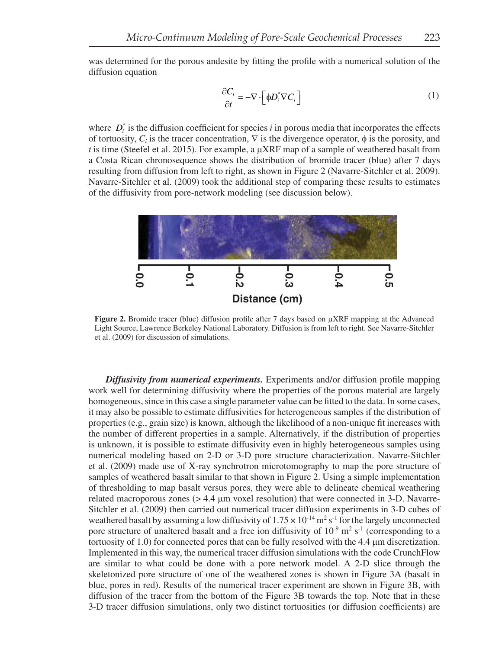was determined for the porous andesite by fitting the profile with a numerical solution of the diffusion equation

$$
\frac{\partial C_i}{\partial t} = -\nabla \cdot \left[ \phi D_i^* \nabla C_i \right]
$$
 (1)

where  $D_i^*$  is the diffusion coefficient for species *i* in porous media that incorporates the effects of tortuosity,  $C_i$  is the tracer concentration,  $\nabla$  is the divergence operator,  $\phi$  is the porosity, and *t* is time (Steefel et al. 2015). For example, a  $\mu$ XRF map of a sample of weathered basalt from a Costa Rican chronosequence shows the distribution of bromide tracer (blue) after 7 days resulting from diffusion from left to right, as shown in Figure 2 (Navarre-Sitchler et al. 2009). Navarre-Sitchler et al. (2009) took the additional step of comparing these results to estimates of the diffusivity from pore-network modeling (see discussion below).



**Figure 2.** Bromide tracer (blue) diffusion profile after 7 days based on  $\mu$ XRF mapping at the Advanced Light Source, Lawrence Berkeley National Laboratory. Diffusion is from left to right. See Navarre-Sitchler et al. (2009) for discussion of simulations.

*Diffusivity from numerical experiments.* Experiments and/or diffusion profile mapping work well for determining diffusivity where the properties of the porous material are largely homogeneous, since in this case a single parameter value can be fitted to the data. In some cases, it may also be possible to estimate diffusivities for heterogeneous samples if the distribution of properties (e.g., grain size) is known, although the likelihood of a non-unique fi t increases with the number of different properties in a sample. Alternatively, if the distribution of properties is unknown, it is possible to estimate diffusivity even in highly heterogeneous samples using numerical modeling based on 2-D or 3-D pore structure characterization. Navarre-Sitchler et al. (2009) made use of X-ray synchrotron microtomography to map the pore structure of samples of weathered basalt similar to that shown in Figure 2. Using a simple implementation of thresholding to map basalt versus pores, they were able to delineate chemical weathering related macroporous zones  $(> 4.4 \mu m$  voxel resolution) that were connected in 3-D. Navarre-Sitchler et al. (2009) then carried out numerical tracer diffusion experiments in 3-D cubes of weathered basalt by assuming a low diffusivity of  $1.75 \times 10^{-14}$  m<sup>2</sup> s<sup>-1</sup> for the largely unconnected pore structure of unaltered basalt and a free ion diffusivity of  $10^{-9}$  m<sup>2</sup> s<sup>-1</sup> (corresponding to a tortuosity of 1.0) for connected pores that can be fully resolved with the  $4.4 \mu m$  discretization. Implemented in this way, the numerical tracer diffusion simulations with the code CrunchFlow are similar to what could be done with a pore network model. A 2-D slice through the skeletonized pore structure of one of the weathered zones is shown in Figure 3A (basalt in blue, pores in red). Results of the numerical tracer experiment are shown in Figure 3B, with diffusion of the tracer from the bottom of the Figure 3B towards the top. Note that in these 3-D tracer diffusion simulations, only two distinct tortuosities (or diffusion coefficients) are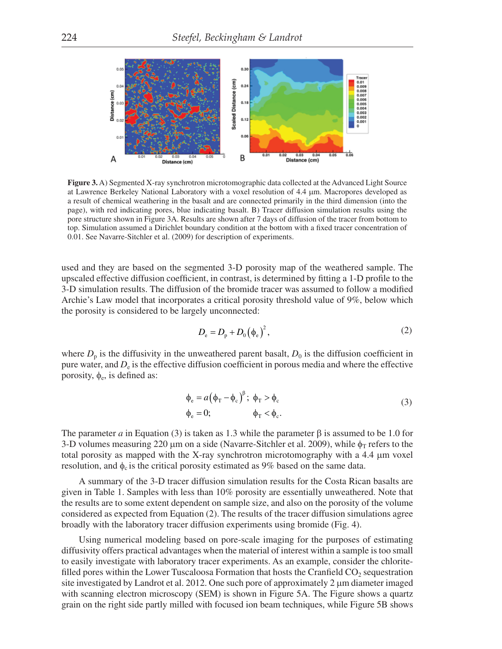

**Figure 3.** A) Segmented X-ray synchrotron microtomographic data collected at the Advanced Light Source at Lawrence Berkeley National Laboratory with a voxel resolution of 4.4 m. Macropores developed as a result of chemical weathering in the basalt and are connected primarily in the third dimension (into the page), with red indicating pores, blue indicating basalt. B) Tracer diffusion simulation results using the pore structure shown in Figure 3A. Results are shown after 7 days of diffusion of the tracer from bottom to top. Simulation assumed a Dirichlet boundary condition at the bottom with a fixed tracer concentration of 0.01. See Navarre-Sitchler et al. (2009) for description of experiments.

used and they are based on the segmented 3-D porosity map of the weathered sample. The upscaled effective diffusion coefficient, in contrast, is determined by fitting a 1-D profile to the 3-D simulation results. The diffusion of the bromide tracer was assumed to follow a modified Archie's Law model that incorporates a critical porosity threshold value of 9%, below which the porosity is considered to be largely unconnected:

$$
D_{\rm e} = D_{\rm p} + D_0 \left(\phi_{\rm e}\right)^2,\tag{2}
$$

where  $D_p$  is the diffusivity in the unweathered parent basalt,  $D_0$  is the diffusion coefficient in pure water, and  $D<sub>e</sub>$  is the effective diffusion coefficient in porous media and where the effective porosity,  $\phi_e$ , is defined as:

$$
\begin{aligned}\n\phi_{\rm e} &= a \left( \phi_{\rm T} - \phi_{\rm c} \right)^{\beta}; \ \phi_{\rm T} > \phi_{\rm c} \\
\phi_{\rm e} &= 0; \qquad \qquad \phi_{\rm T} < \phi_{\rm c}.\n\end{aligned} \tag{3}
$$

The parameter *a* in Equation (3) is taken as 1.3 while the parameter  $\beta$  is assumed to be 1.0 for 3-D volumes measuring 220  $\mu$ m on a side (Navarre-Sitchler et al. 2009), while  $\phi_T$  refers to the total porosity as mapped with the X-ray synchrotron microtomography with a  $4.4 \mu m$  voxel resolution, and  $\phi_c$  is the critical porosity estimated as 9% based on the same data.

A summary of the 3-D tracer diffusion simulation results for the Costa Rican basalts are given in Table 1. Samples with less than 10% porosity are essentially unweathered. Note that the results are to some extent dependent on sample size, and also on the porosity of the volume considered as expected from Equation (2). The results of the tracer diffusion simulations agree broadly with the laboratory tracer diffusion experiments using bromide (Fig. 4).

Using numerical modeling based on pore-scale imaging for the purposes of estimating diffusivity offers practical advantages when the material of interest within a sample is too small to easily investigate with laboratory tracer experiments. As an example, consider the chloritefilled pores within the Lower Tuscaloosa Formation that hosts the Cranfield  $CO<sub>2</sub>$  sequestration site investigated by Landrot et al. 2012. One such pore of approximately 2  $\mu$ m diameter imaged with scanning electron microscopy (SEM) is shown in Figure 5A. The Figure shows a quartz grain on the right side partly milled with focused ion beam techniques, while Figure 5B shows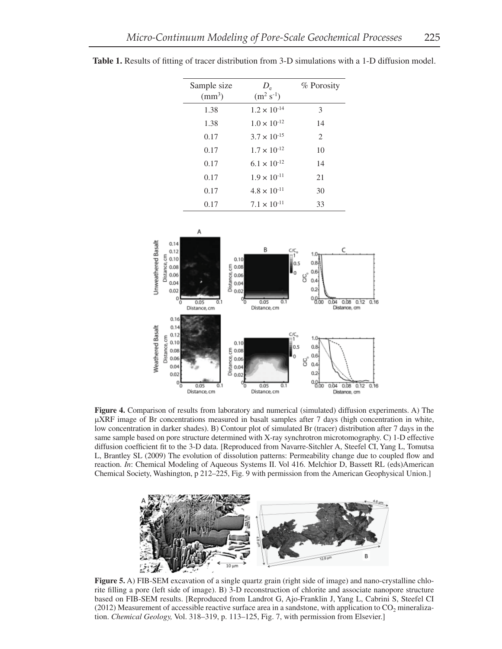| Sample size  | $D_{\varepsilon}$     | % Porosity |
|--------------|-----------------------|------------|
| $\text{m}^3$ | $(m^2 s^{-1})$        |            |
| 1.38         | $1.2 \times 10^{-14}$ | 3          |
| 1.38         | $1.0 \times 10^{-12}$ | 14         |
| 0.17         | $3.7 \times 10^{-15}$ | 2          |
| 0.17         | $1.7 \times 10^{-12}$ | 10         |
| 0.17         | $6.1 \times 10^{-12}$ | 14         |
| 0.17         | $1.9 \times 10^{-11}$ | 21         |
| 0.17         | $4.8 \times 10^{-11}$ | 30         |
| 0.17         | $7.1 \times 10^{-11}$ | 33         |

**Table 1.** Results of fitting of tracer distribution from 3-D simulations with a 1-D diffusion model.



**Figure 4.** Comparison of results from laboratory and numerical (simulated) diffusion experiments. A) The XRF image of Br concentrations measured in basalt samples after 7 days (high concentration in white, low concentration in darker shades). B) Contour plot of simulated Br (tracer) distribution after 7 days in the same sample based on pore structure determined with X-ray synchrotron microtomography. C) 1-D effective diffusion coefficient fit to the 3-D data. [Reproduced from Navarre-Sitchler A, Steefel CI, Yang L, Tomutsa L, Brantley SL (2009) The evolution of dissolution patterns: Permeability change due to coupled flow and reaction. *In*: Chemical Modeling of Aqueous Systems II. Vol 416. Melchior D, Bassett RL (eds)American Chemical Society, Washington, p 212–225, Fig. 9 with permission from the American Geophysical Union.]



**Figure 5.** A) FIB-SEM excavation of a single quartz grain (right side of image) and nano-crystalline chlorite filling a pore (left side of image). B) 3-D reconstruction of chlorite and associate nanopore structure based on FIB-SEM results. [Reproduced from Landrot G, Ajo-Franklin J, Yang L, Cabrini S, Steefel CI (2012) Measurement of accessible reactive surface area in a sandstone, with application to  $CO<sub>2</sub>$  mineralization. *Chemical Geology,* Vol. 318–319, p. 113–125, Fig. 7, with permission from Elsevier.]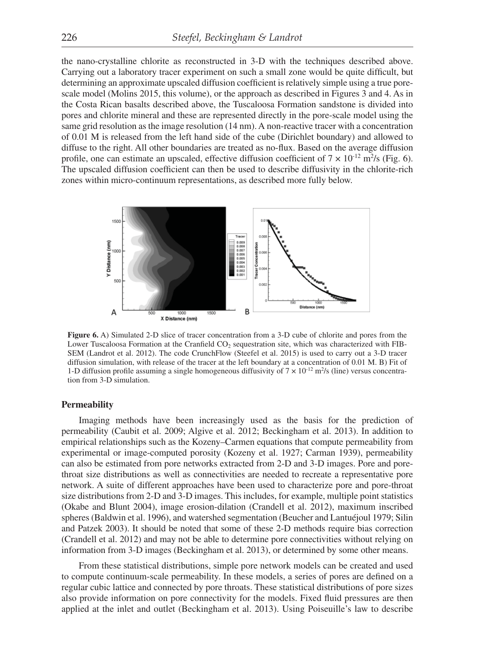the nano-crystalline chlorite as reconstructed in 3-D with the techniques described above. Carrying out a laboratory tracer experiment on such a small zone would be quite difficult, but determining an approximate upscaled diffusion coefficient is relatively simple using a true porescale model (Molins 2015, this volume), or the approach as described in Figures 3 and 4. As in the Costa Rican basalts described above, the Tuscaloosa Formation sandstone is divided into pores and chlorite mineral and these are represented directly in the pore-scale model using the same grid resolution as the image resolution (14 nm). A non-reactive tracer with a concentration of 0.01 M is released from the left hand side of the cube (Dirichlet boundary) and allowed to diffuse to the right. All other boundaries are treated as no-flux. Based on the average diffusion profile, one can estimate an upscaled, effective diffusion coefficient of  $7 \times 10^{-12}$  m<sup>2</sup>/s (Fig. 6). The upscaled diffusion coefficient can then be used to describe diffusivity in the chlorite-rich zones within micro-continuum representations, as described more fully below.



**Figure 6.** A) Simulated 2-D slice of tracer concentration from a 3-D cube of chlorite and pores from the Lower Tuscaloosa Formation at the Cranfield  $CO<sub>2</sub>$  sequestration site, which was characterized with FIB-SEM (Landrot et al. 2012). The code CrunchFlow (Steefel et al. 2015) is used to carry out a 3-D tracer diffusion simulation, with release of the tracer at the left boundary at a concentration of 0.01 M. B) Fit of 1-D diffusion profile assuming a single homogeneous diffusivity of  $7 \times 10^{-12}$  m<sup>2</sup>/s (line) versus concentration from 3-D simulation.

## **Permeability**

Imaging methods have been increasingly used as the basis for the prediction of permeability (Caubit et al. 2009; Algive et al. 2012; Beckingham et al. 2013). In addition to empirical relationships such as the Kozeny–Carmen equations that compute permeability from experimental or image-computed porosity (Kozeny et al. 1927; Carman 1939), permeability can also be estimated from pore networks extracted from 2-D and 3-D images. Pore and porethroat size distributions as well as connectivities are needed to recreate a representative pore network. A suite of different approaches have been used to characterize pore and pore-throat size distributions from 2-D and 3-D images. This includes, for example, multiple point statistics (Okabe and Blunt 2004), image erosion-dilation (Crandell et al. 2012), maximum inscribed spheres (Baldwin et al. 1996), and watershed segmentation (Beucher and Lantuéjoul 1979; Silin and Patzek 2003). It should be noted that some of these 2-D methods require bias correction (Crandell et al. 2012) and may not be able to determine pore connectivities without relying on information from 3-D images (Beckingham et al. 2013), or determined by some other means.

From these statistical distributions, simple pore network models can be created and used to compute continuum-scale permeability. In these models, a series of pores are defined on a regular cubic lattice and connected by pore throats. These statistical distributions of pore sizes also provide information on pore connectivity for the models. Fixed fluid pressures are then applied at the inlet and outlet (Beckingham et al. 2013). Using Poiseuille's law to describe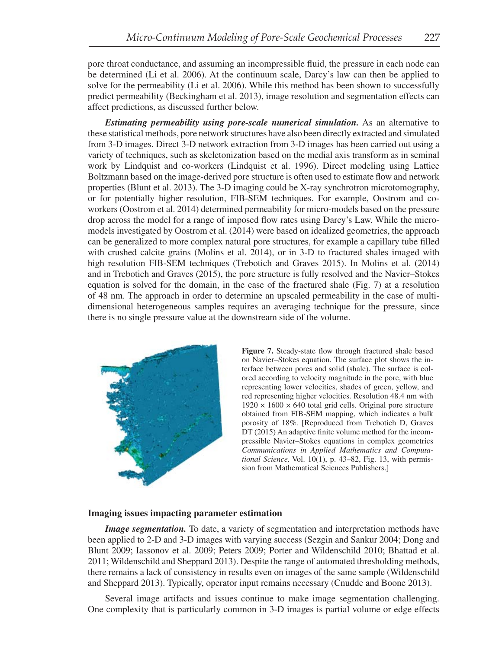pore throat conductance, and assuming an incompressible fluid, the pressure in each node can be determined (Li et al. 2006). At the continuum scale, Darcy's law can then be applied to solve for the permeability (Li et al. 2006). While this method has been shown to successfully predict permeability (Beckingham et al. 2013), image resolution and segmentation effects can affect predictions, as discussed further below.

 *Estimating permeability using pore-scale numerical simulation.* As an alternative to these statistical methods, pore network structures have also been directly extracted and simulated from 3-D images. Direct 3-D network extraction from 3-D images has been carried out using a variety of techniques, such as skeletonization based on the medial axis transform as in seminal work by Lindquist and co-workers (Lindquist et al. 1996). Direct modeling using Lattice Boltzmann based on the image-derived pore structure is often used to estimate flow and network properties (Blunt et al. 2013). The 3-D imaging could be X-ray synchrotron microtomography, or for potentially higher resolution, FIB-SEM techniques. For example, Oostrom and coworkers (Oostrom et al. 2014) determined permeability for micro-models based on the pressure drop across the model for a range of imposed flow rates using Darcy's Law. While the micromodels investigated by Oostrom et al. (2014) were based on idealized geometries, the approach can be generalized to more complex natural pore structures, for example a capillary tube filled with crushed calcite grains (Molins et al. 2014), or in 3-D to fractured shales imaged with high resolution FIB-SEM techniques (Trebotich and Graves 2015). In Molins et al. (2014) and in Trebotich and Graves (2015), the pore structure is fully resolved and the Navier–Stokes equation is solved for the domain, in the case of the fractured shale (Fig. 7) at a resolution of 48 nm. The approach in order to determine an upscaled permeability in the case of multidimensional heterogeneous samples requires an averaging technique for the pressure, since there is no single pressure value at the downstream side of the volume.



Figure 7. Steady-state flow through fractured shale based on Navier–Stokes equation. The surface plot shows the interface between pores and solid (shale). The surface is colored according to velocity magnitude in the pore, with blue representing lower velocities, shades of green, yellow, and red representing higher velocities. Resolution 48.4 nm with  $1920 \times 1600 \times 640$  total grid cells. Original pore structure obtained from FIB-SEM mapping, which indicates a bulk porosity of 18%. [Reproduced from Trebotich D, Graves  $DT(2015)$  An adaptive finite volume method for the incompressible Navier–Stokes equations in complex geometries *Communications in Applied Mathematics and Computational Science,* Vol. 10(1), p. 43–82, Fig. 13, with permission from Mathematical Sciences Publishers.]

# **Imaging issues impacting parameter estimation**

*Image segmentation.* To date, a variety of segmentation and interpretation methods have been applied to 2-D and 3-D images with varying success (Sezgin and Sankur 2004; Dong and Blunt 2009; Iassonov et al. 2009; Peters 2009; Porter and Wildenschild 2010; Bhattad et al. 2011; Wildenschild and Sheppard 2013). Despite the range of automated thresholding methods, there remains a lack of consistency in results even on images of the same sample (Wildenschild and Sheppard 2013). Typically, operator input remains necessary (Cnudde and Boone 2013).

Several image artifacts and issues continue to make image segmentation challenging. One complexity that is particularly common in 3-D images is partial volume or edge effects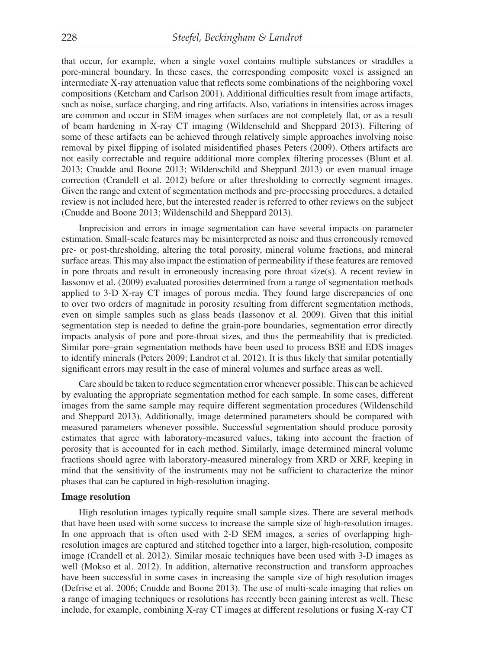that occur, for example, when a single voxel contains multiple substances or straddles a pore-mineral boundary. In these cases, the corresponding composite voxel is assigned an intermediate X-ray attenuation value that reflects some combinations of the neighboring voxel compositions (Ketcham and Carlson 2001). Additional difficulties result from image artifacts, such as noise, surface charging, and ring artifacts. Also, variations in intensities across images are common and occur in SEM images when surfaces are not completely flat, or as a result of beam hardening in X-ray CT imaging (Wildenschild and Sheppard 2013). Filtering of some of these artifacts can be achieved through relatively simple approaches involving noise removal by pixel flipping of isolated misidentified phases Peters (2009). Others artifacts are not easily correctable and require additional more complex filtering processes (Blunt et al. 2013; Cnudde and Boone 2013; Wildenschild and Sheppard 2013) or even manual image correction (Crandell et al. 2012) before or after thresholding to correctly segment images. Given the range and extent of segmentation methods and pre-processing procedures, a detailed review is not included here, but the interested reader is referred to other reviews on the subject (Cnudde and Boone 2013; Wildenschild and Sheppard 2013).

Imprecision and errors in image segmentation can have several impacts on parameter estimation. Small-scale features may be misinterpreted as noise and thus erroneously removed pre- or post-thresholding, altering the total porosity, mineral volume fractions, and mineral surface areas. This may also impact the estimation of permeability if these features are removed in pore throats and result in erroneously increasing pore throat  $size(s)$ . A recent review in Iassonov et al. (2009) evaluated porosities determined from a range of segmentation methods applied to 3-D X-ray CT images of porous media. They found large discrepancies of one to over two orders of magnitude in porosity resulting from different segmentation methods, even on simple samples such as glass beads (Iassonov et al. 2009). Given that this initial segmentation step is needed to define the grain-pore boundaries, segmentation error directly impacts analysis of pore and pore-throat sizes, and thus the permeability that is predicted. Similar pore–grain segmentation methods have been used to process BSE and EDS images to identify minerals (Peters 2009; Landrot et al. 2012). It is thus likely that similar potentially significant errors may result in the case of mineral volumes and surface areas as well.

Care should be taken to reduce segmentation error whenever possible. This can be achieved by evaluating the appropriate segmentation method for each sample. In some cases, different images from the same sample may require different segmentation procedures (Wildenschild and Sheppard 2013). Additionally, image determined parameters should be compared with measured parameters whenever possible. Successful segmentation should produce porosity estimates that agree with laboratory-measured values, taking into account the fraction of porosity that is accounted for in each method. Similarly, image determined mineral volume fractions should agree with laboratory-measured mineralogy from XRD or XRF, keeping in mind that the sensitivity of the instruments may not be sufficient to characterize the minor phases that can be captured in high-resolution imaging.

#### **Image resolution**

High resolution images typically require small sample sizes. There are several methods that have been used with some success to increase the sample size of high-resolution images. In one approach that is often used with 2-D SEM images, a series of overlapping highresolution images are captured and stitched together into a larger, high-resolution, composite image (Crandell et al. 2012). Similar mosaic techniques have been used with 3-D images as well (Mokso et al. 2012). In addition, alternative reconstruction and transform approaches have been successful in some cases in increasing the sample size of high resolution images (Defrise et al. 2006; Cnudde and Boone 2013). The use of multi-scale imaging that relies on a range of imaging techniques or resolutions has recently been gaining interest as well. These include, for example, combining X-ray CT images at different resolutions or fusing X-ray CT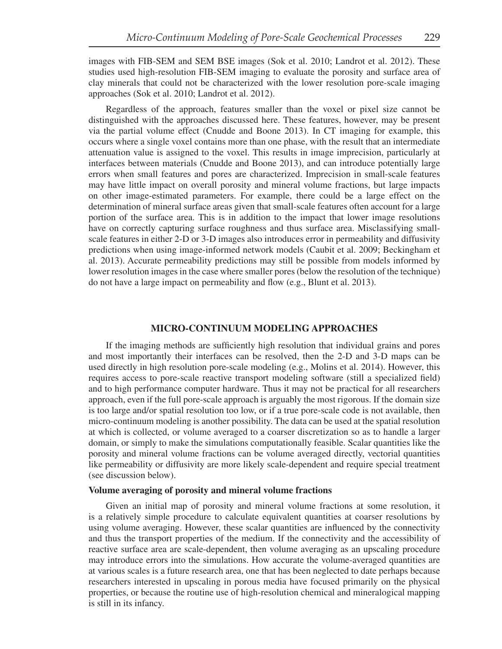images with FIB-SEM and SEM BSE images (Sok et al. 2010; Landrot et al. 2012). These studies used high-resolution FIB-SEM imaging to evaluate the porosity and surface area of clay minerals that could not be characterized with the lower resolution pore-scale imaging approaches (Sok et al. 2010; Landrot et al. 2012).

Regardless of the approach, features smaller than the voxel or pixel size cannot be distinguished with the approaches discussed here. These features, however, may be present via the partial volume effect (Cnudde and Boone 2013). In CT imaging for example, this occurs where a single voxel contains more than one phase, with the result that an intermediate attenuation value is assigned to the voxel. This results in image imprecision, particularly at interfaces between materials (Cnudde and Boone 2013), and can introduce potentially large errors when small features and pores are characterized. Imprecision in small-scale features may have little impact on overall porosity and mineral volume fractions, but large impacts on other image-estimated parameters. For example, there could be a large effect on the determination of mineral surface areas given that small-scale features often account for a large portion of the surface area. This is in addition to the impact that lower image resolutions have on correctly capturing surface roughness and thus surface area. Misclassifying smallscale features in either 2-D or 3-D images also introduces error in permeability and diffusivity predictions when using image-informed network models (Caubit et al. 2009; Beckingham et al. 2013). Accurate permeability predictions may still be possible from models informed by lower resolution images in the case where smaller pores (below the resolution of the technique) do not have a large impact on permeability and flow (e.g., Blunt et al. 2013).

### **MICRO-CONTINUUM MODELING APPROACHES**

If the imaging methods are sufficiently high resolution that individual grains and pores and most importantly their interfaces can be resolved, then the 2-D and 3-D maps can be used directly in high resolution pore-scale modeling (e.g., Molins et al. 2014). However, this requires access to pore-scale reactive transport modeling software (still a specialized field) and to high performance computer hardware. Thus it may not be practical for all researchers approach, even if the full pore-scale approach is arguably the most rigorous. If the domain size is too large and/or spatial resolution too low, or if a true pore-scale code is not available, then micro-continuum modeling is another possibility. The data can be used at the spatial resolution at which is collected, or volume averaged to a coarser discretization so as to handle a larger domain, or simply to make the simulations computationally feasible. Scalar quantities like the porosity and mineral volume fractions can be volume averaged directly, vectorial quantities like permeability or diffusivity are more likely scale-dependent and require special treatment (see discussion below).

#### **Volume averaging of porosity and mineral volume fractions**

Given an initial map of porosity and mineral volume fractions at some resolution, it is a relatively simple procedure to calculate equivalent quantities at coarser resolutions by using volume averaging. However, these scalar quantities are influenced by the connectivity and thus the transport properties of the medium. If the connectivity and the accessibility of reactive surface area are scale-dependent, then volume averaging as an upscaling procedure may introduce errors into the simulations. How accurate the volume-averaged quantities are at various scales is a future research area, one that has been neglected to date perhaps because researchers interested in upscaling in porous media have focused primarily on the physical properties, or because the routine use of high-resolution chemical and mineralogical mapping is still in its infancy.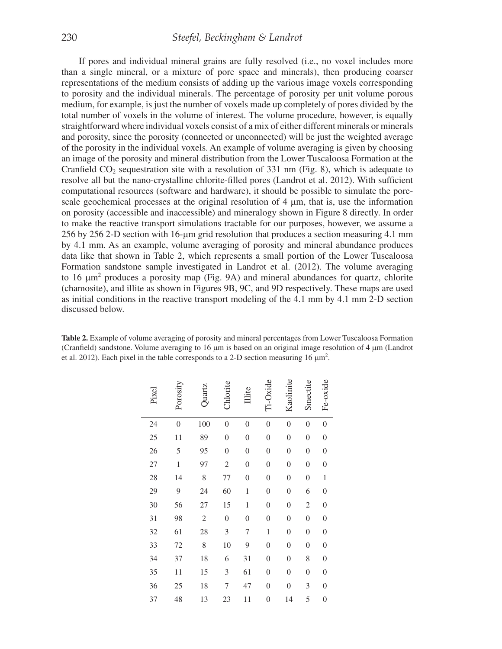If pores and individual mineral grains are fully resolved (i.e., no voxel includes more than a single mineral, or a mixture of pore space and minerals), then producing coarser representations of the medium consists of adding up the various image voxels corresponding to porosity and the individual minerals. The percentage of porosity per unit volume porous medium, for example, is just the number of voxels made up completely of pores divided by the total number of voxels in the volume of interest. The volume procedure, however, is equally straightforward where individual voxels consist of a mix of either different minerals or minerals and porosity, since the porosity (connected or unconnected) will be just the weighted average of the porosity in the individual voxels. An example of volume averaging is given by choosing an image of the porosity and mineral distribution from the Lower Tuscaloosa Formation at the Cranfield  $CO<sub>2</sub>$  sequestration site with a resolution of 331 nm (Fig. 8), which is adequate to resolve all but the nano-crystalline chlorite-filled pores (Landrot et al. 2012). With sufficient computational resources (software and hardware), it should be possible to simulate the porescale geochemical processes at the original resolution of  $4 \mu m$ , that is, use the information on porosity (accessible and inaccessible) and mineralogy shown in Figure 8 directly. In order to make the reactive transport simulations tractable for our purposes, however, we assume a 256 by 256 2-D section with  $16$ -µm grid resolution that produces a section measuring 4.1 mm by 4.1 mm. As an example, volume averaging of porosity and mineral abundance produces data like that shown in Table 2, which represents a small portion of the Lower Tuscaloosa Formation sandstone sample investigated in Landrot et al. (2012). The volume averaging to 16  $\mu$ m<sup>2</sup> produces a porosity map (Fig. 9A) and mineral abundances for quartz, chlorite (chamosite), and illite as shown in Figures 9B, 9C, and 9D respectively. These maps are used as initial conditions in the reactive transport modeling of the 4.1 mm by 4.1 mm 2-D section discussed below.

**Table 2.** Example of volume averaging of porosity and mineral percentages from Lower Tuscaloosa Formation (Cranfield) sandstone. Volume averaging to 16  $\mu$ m is based on an original image resolution of 4  $\mu$ m (Landrot et al. 2012). Each pixel in the table corresponds to a 2-D section measuring 16  $\mu$ m<sup>2</sup>.

| Pixel | Porosity         | Quartz         | Chlorite         | Lite             | Oxide<br>Ě       | Kaolinite        | Smectite         | Fe-oxide         |
|-------|------------------|----------------|------------------|------------------|------------------|------------------|------------------|------------------|
| 24    | $\boldsymbol{0}$ | 100            | $\boldsymbol{0}$ | $\boldsymbol{0}$ | $\boldsymbol{0}$ | $\boldsymbol{0}$ | $\boldsymbol{0}$ | $\boldsymbol{0}$ |
| 25    | 11               | 89             | $\boldsymbol{0}$ | $\boldsymbol{0}$ | $\boldsymbol{0}$ | $\boldsymbol{0}$ | $\boldsymbol{0}$ | $\boldsymbol{0}$ |
| 26    | 5                | 95             | $\boldsymbol{0}$ | 0                | $\boldsymbol{0}$ | $\boldsymbol{0}$ | $\boldsymbol{0}$ | $\boldsymbol{0}$ |
| 27    | $\mathbf{1}$     | 97             | $\overline{c}$   | $\boldsymbol{0}$ | $\boldsymbol{0}$ | $\boldsymbol{0}$ | $\boldsymbol{0}$ | $\boldsymbol{0}$ |
| 28    | 14               | 8              | 77               | $\overline{0}$   | $\boldsymbol{0}$ | $\boldsymbol{0}$ | $\boldsymbol{0}$ | $\mathbf{1}$     |
| 29    | 9                | 24             | 60               | $\,1$            | $\boldsymbol{0}$ | $\boldsymbol{0}$ | 6                | $\boldsymbol{0}$ |
| 30    | 56               | 27             | 15               | $\mathbf{1}$     | $\overline{0}$   | $\overline{0}$   | $\mathfrak{2}$   | $\boldsymbol{0}$ |
| 31    | 98               | $\overline{2}$ | $\boldsymbol{0}$ | $\overline{0}$   | $\overline{0}$   | $\boldsymbol{0}$ | $\boldsymbol{0}$ | $\boldsymbol{0}$ |
| 32    | 61               | 28             | 3                | $\overline{7}$   | $\mathbf{1}$     | $\boldsymbol{0}$ | $\boldsymbol{0}$ | $\boldsymbol{0}$ |
| 33    | 72               | 8              | 10               | 9                | $\overline{0}$   | $\boldsymbol{0}$ | $\boldsymbol{0}$ | $\boldsymbol{0}$ |
| 34    | 37               | 18             | 6                | 31               | $\boldsymbol{0}$ | $\boldsymbol{0}$ | 8                | $\boldsymbol{0}$ |
| 35    | 11               | 15             | $\mathfrak{Z}$   | 61               | $\overline{0}$   | $\boldsymbol{0}$ | $\boldsymbol{0}$ | $\boldsymbol{0}$ |
| 36    | 25               | 18             | 7                | 47               | $\overline{0}$   | $\overline{0}$   | 3                | $\boldsymbol{0}$ |
| 37    | 48               | 13             | 23               | 11               | $\overline{0}$   | 14               | 5                | $\boldsymbol{0}$ |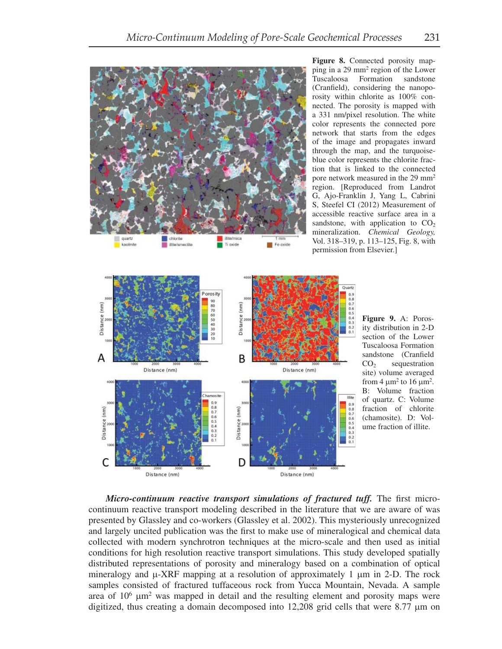

**Figure 8.** Connected porosity mapping in a 29 mm2 region of the Lower Tuscaloosa Formation sandstone (Cranfield), considering the nanoporosity within chlorite as 100% connected. The porosity is mapped with a 331 nm/pixel resolution. The white color represents the connected pore network that starts from the edges of the image and propagates inward through the map, and the turquoiseblue color represents the chlorite fraction that is linked to the connected pore network measured in the 29 mm2 region. [Reproduced from Landrot G, Ajo-Franklin J, Yang L, Cabrini S, Steefel CI (2012) Measurement of accessible reactive surface area in a sandstone, with application to  $CO<sub>2</sub>$ mineralization. *Chemical Geology,* Vol. 318–319, p. 113–125, Fig. 8, with permission from Elsevier.]



**Figure 9.** A: Porosity distribution in 2-D section of the Lower Tuscaloosa Formation sandstone (Cranfield  $CO<sub>2</sub>$  sequestration site) volume averaged from 4  $\mu$ m<sup>2</sup> to 16  $\mu$ m<sup>2</sup>. B: Volume fraction of quartz. C: Volume fraction of chlorite (chamosite). D: Volume fraction of illite.

*Micro-continuum reactive transport simulations of fractured tuff.* The first microcontinuum reactive transport modeling described in the literature that we are aware of was presented by Glassley and co-workers (Glassley et al. 2002). This mysteriously unrecognized and largely uncited publication was the first to make use of mineralogical and chemical data collected with modern synchrotron techniques at the micro-scale and then used as initial conditions for high resolution reactive transport simulations. This study developed spatially distributed representations of porosity and mineralogy based on a combination of optical mineralogy and  $\mu$ -XRF mapping at a resolution of approximately 1  $\mu$ m in 2-D. The rock samples consisted of fractured tuffaceous rock from Yucca Mountain, Nevada. A sample area of  $10^6$   $\mu$ m<sup>2</sup> was mapped in detail and the resulting element and porosity maps were digitized, thus creating a domain decomposed into  $12,208$  grid cells that were  $8.77 \mu m$  on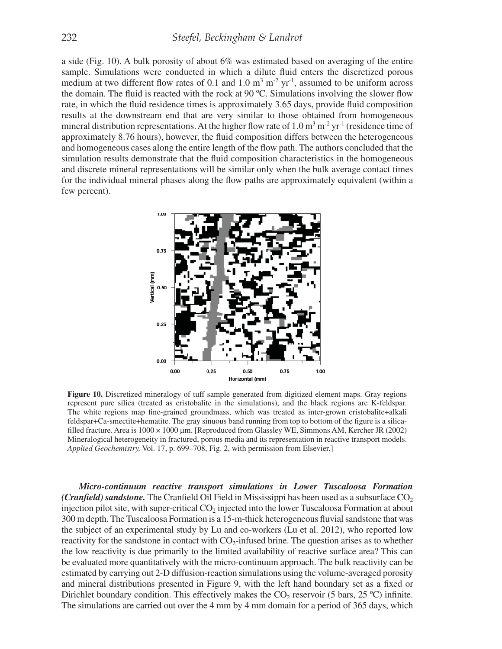a side (Fig. 10). A bulk porosity of about 6% was estimated based on averaging of the entire sample. Simulations were conducted in which a dilute fluid enters the discretized porous medium at two different flow rates of 0.1 and 1.0  $\text{m}^3$  m<sup>-2</sup> yr<sup>-1</sup>, assumed to be uniform across the domain. The fluid is reacted with the rock at 90  $\degree$ C. Simulations involving the slower flow rate, in which the fluid residence times is approximately 3.65 days, provide fluid composition results at the downstream end that are very similar to those obtained from homogeneous mineral distribution representations. At the higher flow rate of  $1.0 \,\mathrm{m}^3 \,\mathrm{m}^{-2} \,\mathrm{yr}^{-1}$  (residence time of approximately 8.76 hours), however, the fluid composition differs between the heterogeneous and homogeneous cases along the entire length of the flow path. The authors concluded that the simulation results demonstrate that the fluid composition characteristics in the homogeneous and discrete mineral representations will be similar only when the bulk average contact times for the individual mineral phases along the flow paths are approximately equivalent (within a few percent).



**Figure 10.** Discretized mineralogy of tuff sample generated from digitized element maps. Gray regions represent pure silica (treated as cristobalite in the simulations), and the black regions are K-feldspar. The white regions map fine-grained groundmass, which was treated as inter-grown cristobalite+alkali feldspar+Ca-smectite+hematite. The gray sinuous band running from top to bottom of the figure is a silicafilled fracture. Area is  $1000 \times 1000$  µm. [Reproduced from Glassley WE, Simmons AM, Kercher JR (2002) Mineralogical heterogeneity in fractured, porous media and its representation in reactive transport models. *Applied Geochemistry,* Vol. 17, p. 699–708, Fig. 2, with permission from Elsevier.]

 *Micro-continuum reactive transport simulations in Lower Tuscaloosa Formation (Cranfield) sandstone.* The Cranfield Oil Field in Mississippi has been used as a subsurface  $CO<sub>2</sub>$ injection pilot site, with super-critical  $CO<sub>2</sub>$  injected into the lower Tuscaloosa Formation at about 300 m depth. The Tuscaloosa Formation is a 15-m-thick heterogeneous fluvial sandstone that was the subject of an experimental study by Lu and co-workers (Lu et al. 2012), who reported low reactivity for the sandstone in contact with  $CO_2$ -infused brine. The question arises as to whether the low reactivity is due primarily to the limited availability of reactive surface area? This can be evaluated more quantitatively with the micro-continuum approach. The bulk reactivity can be estimated by carrying out 2-D diffusion-reaction simulations using the volume-averaged porosity and mineral distributions presented in Figure 9, with the left hand boundary set as a fixed or Dirichlet boundary condition. This effectively makes the  $CO_2$  reservoir (5 bars, 25 °C) infinite. The simulations are carried out over the 4 mm by 4 mm domain for a period of 365 days, which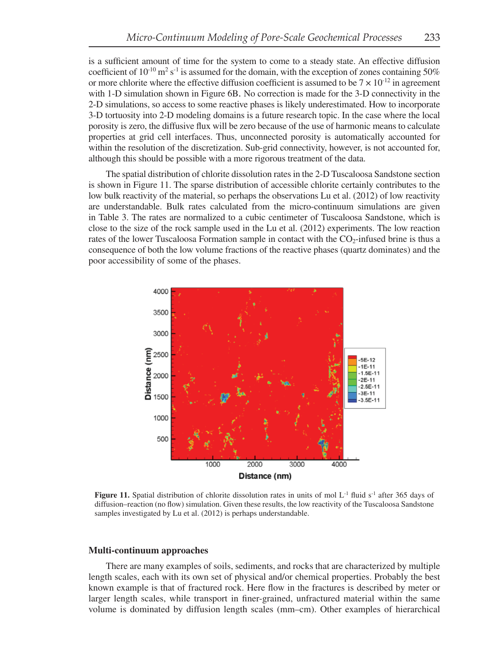is a sufficient amount of time for the system to come to a steady state. An effective diffusion coefficient of  $10^{-10}$  m<sup>2</sup> s<sup>-1</sup> is assumed for the domain, with the exception of zones containing 50% or more chlorite where the effective diffusion coefficient is assumed to be  $7 \times 10^{-12}$  in agreement with 1-D simulation shown in Figure 6B. No correction is made for the 3-D connectivity in the 2-D simulations, so access to some reactive phases is likely underestimated. How to incorporate 3-D tortuosity into 2-D modeling domains is a future research topic. In the case where the local porosity is zero, the diffusive flux will be zero because of the use of harmonic means to calculate properties at grid cell interfaces. Thus, unconnected porosity is automatically accounted for within the resolution of the discretization. Sub-grid connectivity, however, is not accounted for, although this should be possible with a more rigorous treatment of the data.

The spatial distribution of chlorite dissolution rates in the 2-D Tuscaloosa Sandstone section is shown in Figure 11. The sparse distribution of accessible chlorite certainly contributes to the low bulk reactivity of the material, so perhaps the observations Lu et al. (2012) of low reactivity are understandable. Bulk rates calculated from the micro-continuum simulations are given in Table 3. The rates are normalized to a cubic centimeter of Tuscaloosa Sandstone, which is close to the size of the rock sample used in the Lu et al. (2012) experiments. The low reaction rates of the lower Tuscaloosa Formation sample in contact with the  $CO_2$ -infused brine is thus a consequence of both the low volume fractions of the reactive phases (quartz dominates) and the poor accessibility of some of the phases.



**Figure 11.** Spatial distribution of chlorite dissolution rates in units of mol  $L^{-1}$  fluid s<sup>-1</sup> after 365 days of diffusion–reaction (no flow) simulation. Given these results, the low reactivity of the Tuscaloosa Sandstone samples investigated by Lu et al. (2012) is perhaps understandable.

#### **Multi-continuum approaches**

There are many examples of soils, sediments, and rocks that are characterized by multiple length scales, each with its own set of physical and/or chemical properties. Probably the best known example is that of fractured rock. Here flow in the fractures is described by meter or larger length scales, while transport in finer-grained, unfractured material within the same volume is dominated by diffusion length scales (mm–cm). Other examples of hierarchical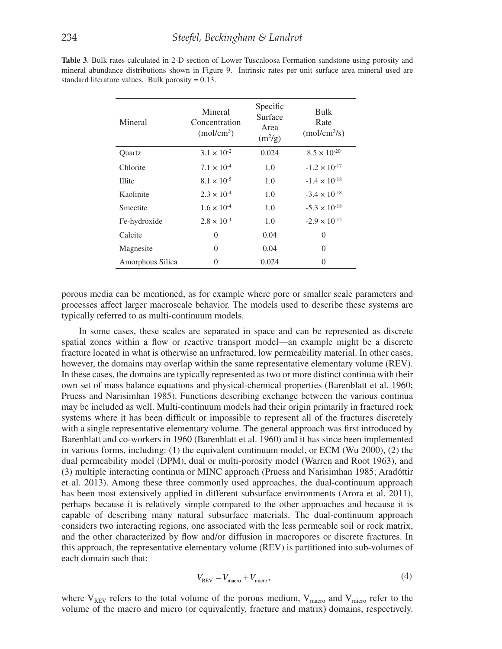| Mineral          | Mineral<br>Concentration<br>(mol/cm <sup>3</sup> ) | Specific<br>Surface<br>Area<br>$(m^2/g)$ | <b>Bulk</b><br>Rate<br>(mol/cm <sup>3</sup> /s) |
|------------------|----------------------------------------------------|------------------------------------------|-------------------------------------------------|
| Quartz           | $3.1 \times 10^{-2}$                               | 0.024                                    | $8.5 \times 10^{-20}$                           |
| Chlorite         | $7.1 \times 10^{-4}$                               | 1.0                                      | $-1.2 \times 10^{-17}$                          |
| <b>Illite</b>    | $8.1 \times 10^{-5}$                               | 1.0                                      | $-1.4 \times 10^{-18}$                          |
| Kaolinite        | $2.3 \times 10^{-4}$                               | 1.0                                      | $-3.4 \times 10^{-18}$                          |
| Smectite         | $1.6 \times 10^{-4}$                               | 1.0                                      | $-5.3 \times 10^{-18}$                          |
| Fe-hydroxide     | $2.8 \times 10^{-4}$                               | 1.0                                      | $-2.9 \times 10^{-15}$                          |
| Calcite          | 0                                                  | 0.04                                     | $\Omega$                                        |
| Magnesite        | 0                                                  | 0.04                                     | $\Omega$                                        |
| Amorphous Silica | $\Omega$                                           | 0.024                                    | $\Omega$                                        |

**Table 3**. Bulk rates calculated in 2-D section of Lower Tuscaloosa Formation sandstone using porosity and mineral abundance distributions shown in Figure 9. Intrinsic rates per unit surface area mineral used are standard literature values. Bulk porosity  $= 0.13$ .

porous media can be mentioned, as for example where pore or smaller scale parameters and processes affect larger macroscale behavior. The models used to describe these systems are typically referred to as multi-continuum models.

In some cases, these scales are separated in space and can be represented as discrete spatial zones within a flow or reactive transport model—an example might be a discrete fracture located in what is otherwise an unfractured, low permeability material. In other cases, however, the domains may overlap within the same representative elementary volume (REV). In these cases, the domains are typically represented as two or more distinct continua with their own set of mass balance equations and physical-chemical properties (Barenblatt et al. 1960; Pruess and Narisimhan 1985). Functions describing exchange between the various continua may be included as well. Multi-continuum models had their origin primarily in fractured rock systems where it has been difficult or impossible to represent all of the fractures discretely with a single representative elementary volume. The general approach was first introduced by Barenblatt and co-workers in 1960 (Barenblatt et al. 1960) and it has since been implemented in various forms, including: (1) the equivalent continuum model, or ECM (Wu 2000), (2) the dual permeability model (DPM), dual or multi-porosity model (Warren and Root 1963), and (3) multiple interacting continua or MINC approach (Pruess and Narisimhan 1985; Aradóttir et al. 2013). Among these three commonly used approaches, the dual-continuum approach has been most extensively applied in different subsurface environments (Arora et al. 2011), perhaps because it is relatively simple compared to the other approaches and because it is capable of describing many natural subsurface materials. The dual-continuum approach considers two interacting regions, one associated with the less permeable soil or rock matrix, and the other characterized by flow and/or diffusion in macropores or discrete fractures. In this approach, the representative elementary volume (REV) is partitioned into sub-volumes of each domain such that:

$$
V_{\text{REV}} = V_{\text{macro}} + V_{\text{micro}},\tag{4}
$$

where  $V_{REV}$  refers to the total volume of the porous medium,  $V_{macro}$  and  $V_{micro}$  refer to the volume of the macro and micro (or equivalently, fracture and matrix) domains, respectively.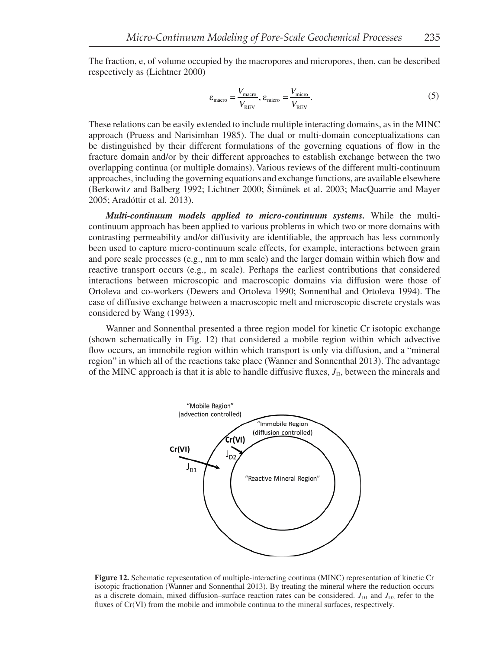The fraction, e, of volume occupied by the macropores and micropores, then, can be described respectively as (Lichtner 2000)

$$
\varepsilon_{\text{macro}} = \frac{V_{\text{macro}}}{V_{\text{REV}}}, \varepsilon_{\text{micro}} = \frac{V_{\text{micro}}}{V_{\text{REV}}}.
$$
\n(5)

These relations can be easily extended to include multiple interacting domains, as in the MINC approach (Pruess and Narisimhan 1985). The dual or multi-domain conceptualizations can be distinguished by their different formulations of the governing equations of flow in the fracture domain and/or by their different approaches to establish exchange between the two overlapping continua (or multiple domains). Various reviews of the different multi-continuum approaches, including the governing equations and exchange functions, are available elsewhere (Berkowitz and Balberg 1992; Lichtner 2000; Šimůnek et al. 2003; MacQuarrie and Mayer 2005; Aradóttir et al. 2013).

 *Multi-continuum models applied to micro-continuum systems.* While the multicontinuum approach has been applied to various problems in which two or more domains with contrasting permeability and/or diffusivity are identifiable, the approach has less commonly been used to capture micro-continuum scale effects, for example, interactions between grain and pore scale processes (e.g., nm to mm scale) and the larger domain within which flow and reactive transport occurs (e.g., m scale). Perhaps the earliest contributions that considered interactions between microscopic and macroscopic domains via diffusion were those of Ortoleva and co-workers (Dewers and Ortoleva 1990; Sonnenthal and Ortoleva 1994). The case of diffusive exchange between a macroscopic melt and microscopic discrete crystals was considered by Wang (1993).

Wanner and Sonnenthal presented a three region model for kinetic Cr isotopic exchange (shown schematically in Fig. 12) that considered a mobile region within which advective flow occurs, an immobile region within which transport is only via diffusion, and a "mineral" region" in which all of the reactions take place (Wanner and Sonnenthal 2013). The advantage of the MINC approach is that it is able to handle diffusive fluxes,  $J<sub>D</sub>$ , between the minerals and



**Figure 12.** Schematic representation of multiple-interacting continua (MINC) representation of kinetic Cr isotopic fractionation (Wanner and Sonnenthal 2013). By treating the mineral where the reduction occurs as a discrete domain, mixed diffusion–surface reaction rates can be considered.  $J_{D1}$  and  $J_{D2}$  refer to the fluxes of Cr(VI) from the mobile and immobile continua to the mineral surfaces, respectively.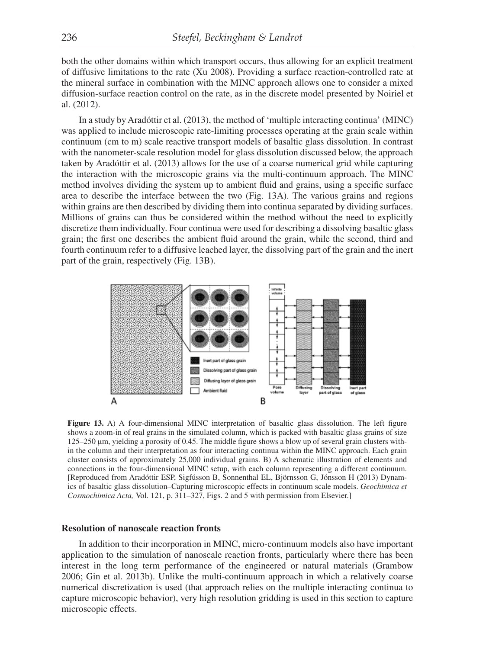both the other domains within which transport occurs, thus allowing for an explicit treatment of diffusive limitations to the rate (Xu 2008). Providing a surface reaction-controlled rate at the mineral surface in combination with the MINC approach allows one to consider a mixed diffusion-surface reaction control on the rate, as in the discrete model presented by Noiriel et al. (2012).

In a study by Aradóttir et al. (2013), the method of 'multiple interacting continua' (MINC) was applied to include microscopic rate-limiting processes operating at the grain scale within continuum (cm to m) scale reactive transport models of basaltic glass dissolution. In contrast with the nanometer-scale resolution model for glass dissolution discussed below, the approach taken by Aradóttir et al. (2013) allows for the use of a coarse numerical grid while capturing the interaction with the microscopic grains via the multi-continuum approach. The MINC method involves dividing the system up to ambient fluid and grains, using a specific surface area to describe the interface between the two (Fig. 13A). The various grains and regions within grains are then described by dividing them into continua separated by dividing surfaces. Millions of grains can thus be considered within the method without the need to explicitly discretize them individually. Four continua were used for describing a dissolving basaltic glass grain; the first one describes the ambient fluid around the grain, while the second, third and fourth continuum refer to a diffusive leached layer, the dissolving part of the grain and the inert part of the grain, respectively (Fig. 13B).



**Figure 13.** A) A four-dimensional MINC interpretation of basaltic glass dissolution. The left figure shows a zoom-in of real grains in the simulated column, which is packed with basaltic glass grains of size 125–250 µm, yielding a porosity of 0.45. The middle figure shows a blow up of several grain clusters within the column and their interpretation as four interacting continua within the MINC approach. Each grain cluster consists of approximately 25,000 individual grains. B) A schematic illustration of elements and connections in the four-dimensional MINC setup, with each column representing a different continuum. [Reproduced from Aradóttir ESP, Sigfússon B, Sonnenthal EL, Björnsson G, Jónsson H (2013) Dynamics of basaltic glass dissolution–Capturing microscopic effects in continuum scale models. *Geochimica et Cosmochimica Acta,* Vol. 121, p. 311–327, Figs. 2 and 5 with permission from Elsevier.]

## **Resolution of nanoscale reaction fronts**

In addition to their incorporation in MINC, micro-continuum models also have important application to the simulation of nanoscale reaction fronts, particularly where there has been interest in the long term performance of the engineered or natural materials (Grambow 2006; Gin et al. 2013b). Unlike the multi-continuum approach in which a relatively coarse numerical discretization is used (that approach relies on the multiple interacting continua to capture microscopic behavior), very high resolution gridding is used in this section to capture microscopic effects.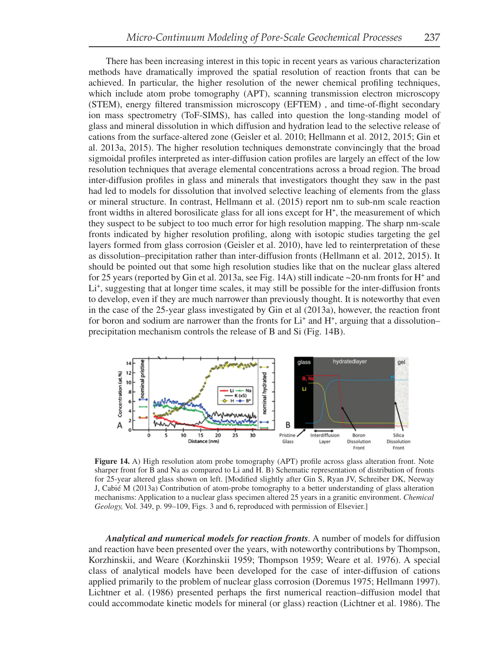There has been increasing interest in this topic in recent years as various characterization methods have dramatically improved the spatial resolution of reaction fronts that can be achieved. In particular, the higher resolution of the newer chemical profiling techniques, which include atom probe tomography (APT), scanning transmission electron microscopy (STEM), energy filtered transmission microscopy (EFTEM), and time-of-flight secondary ion mass spectrometry (ToF-SIMS), has called into question the long-standing model of glass and mineral dissolution in which diffusion and hydration lead to the selective release of cations from the surface-altered zone (Geisler et al. 2010; Hellmann et al. 2012, 2015; Gin et al. 2013a, 2015). The higher resolution techniques demonstrate convincingly that the broad sigmoidal profiles interpreted as inter-diffusion cation profiles are largely an effect of the low resolution techniques that average elemental concentrations across a broad region. The broad inter-diffusion profiles in glass and minerals that investigators thought they saw in the past had led to models for dissolution that involved selective leaching of elements from the glass or mineral structure. In contrast, Hellmann et al. (2015) report nm to sub-nm scale reaction front widths in altered borosilicate glass for all ions except for H+, the measurement of which they suspect to be subject to too much error for high resolution mapping. The sharp nm-scale fronts indicated by higher resolution profiling, along with isotopic studies targeting the gel layers formed from glass corrosion (Geisler et al. 2010), have led to reinterpretation of these as dissolution–precipitation rather than inter-diffusion fronts (Hellmann et al. 2012, 2015). It should be pointed out that some high resolution studies like that on the nuclear glass altered for 25 years (reported by Gin et al. 2013a, see Fig. 14A) still indicate  $\sim$ 20-nm fronts for H<sup>+</sup> and Li<sup>+</sup>, suggesting that at longer time scales, it may still be possible for the inter-diffusion fronts to develop, even if they are much narrower than previously thought. It is noteworthy that even in the case of the 25-year glass investigated by Gin et al (2013a), however, the reaction front for boron and sodium are narrower than the fronts for  $Li^+$  and  $H^+$ , arguing that a dissolution– precipitation mechanism controls the release of B and Si (Fig. 14B).



**Figure 14.** A) High resolution atom probe tomography (APT) profile across glass alteration front. Note sharper front for B and Na as compared to Li and H. B) Schematic representation of distribution of fronts for 25-year altered glass shown on left. [Modified slightly after Gin S, Ryan JV, Schreiber DK, Neeway J, Cabié M (2013a) Contribution of atom-probe tomography to a better understanding of glass alteration mechanisms: Application to a nuclear glass specimen altered 25 years in a granitic environment. *Chemical Geology,* Vol. 349, p. 99–109, Figs. 3 and 6, reproduced with permission of Elsevier.]

 *Analytical and numerical models for reaction fronts.* A number of models for diffusion and reaction have been presented over the years, with noteworthy contributions by Thompson, Korzhinskii, and Weare (Korzhinskii 1959; Thompson 1959; Weare et al. 1976). A special class of analytical models have been developed for the case of inter-diffusion of cations applied primarily to the problem of nuclear glass corrosion (Doremus 1975; Hellmann 1997). Lichtner et al. (1986) presented perhaps the first numerical reaction–diffusion model that could accommodate kinetic models for mineral (or glass) reaction (Lichtner et al. 1986). The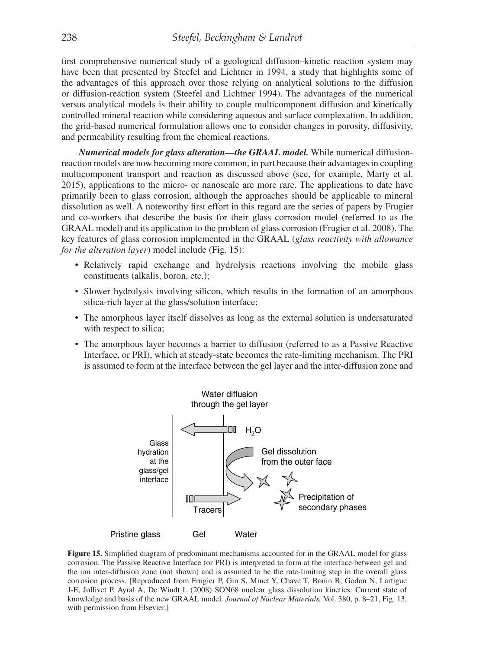first comprehensive numerical study of a geological diffusion–kinetic reaction system may have been that presented by Steefel and Lichtner in 1994, a study that highlights some of the advantages of this approach over those relying on analytical solutions to the diffusion or diffusion-reaction system (Steefel and Lichtner 1994). The advantages of the numerical versus analytical models is their ability to couple multicomponent diffusion and kinetically controlled mineral reaction while considering aqueous and surface complexation. In addition, the grid-based numerical formulation allows one to consider changes in porosity, diffusivity, and permeability resulting from the chemical reactions.

 *Numerical models for glass alteration—the GRAAL model.* While numerical diffusionreaction models are now becoming more common, in part because their advantages in coupling multicomponent transport and reaction as discussed above (see, for example, Marty et al. 2015), applications to the micro- or nanoscale are more rare. The applications to date have primarily been to glass corrosion, although the approaches should be applicable to mineral dissolution as well. A noteworthy first effort in this regard are the series of papers by Frugier and co-workers that describe the basis for their glass corrosion model (referred to as the GRAAL model) and its application to the problem of glass corrosion (Frugier et al. 2008). The key features of glass corrosion implemented in the GRAAL (*glass reactivity with allowance for the alteration layer*) model include (Fig. 15):

- Relatively rapid exchange and hydrolysis reactions involving the mobile glass constituents (alkalis, boron, etc.);
- Slower hydrolysis involving silicon, which results in the formation of an amorphous silica-rich layer at the glass/solution interface;
- The amorphous layer itself dissolves as long as the external solution is undersaturated with respect to silica;
- The amorphous layer becomes a barrier to diffusion (referred to as a Passive Reactive Interface, or PRI), which at steady-state becomes the rate-limiting mechanism. The PRI is assumed to form at the interface between the gel layer and the inter-diffusion zone and



**Figure 15.** Simplified diagram of predominant mechanisms accounted for in the GRAAL model for glass corrosion. The Passive Reactive Interface (or PRI) is interpreted to form at the interface between gel and the ion inter-diffusion zone (not shown) and is assumed to be the rate-limiting step in the overall glass corrosion process. [Reproduced from Frugier P, Gin S, Minet Y, Chave T, Bonin B, Godon N, Lartigue J-E, Jollivet P, Ayral A, De Windt L (2008) SON68 nuclear glass dissolution kinetics: Current state of knowledge and basis of the new GRAAL model. *Journal of Nuclear Materials,* Vol. 380, p. 8–21, Fig. 13, with permission from Elsevier.]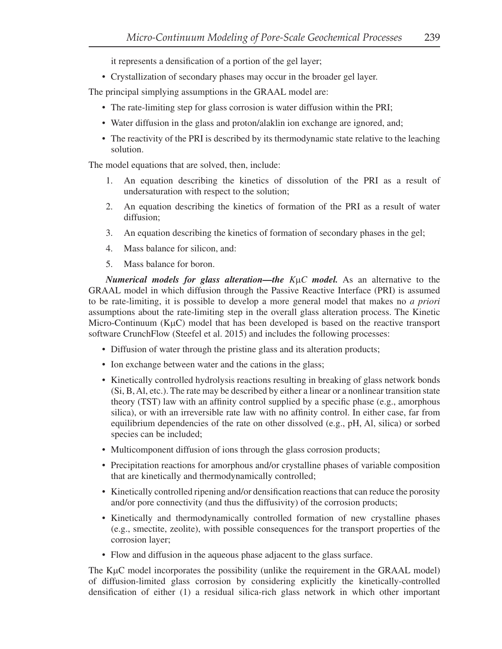it represents a densification of a portion of the gel layer;

• Crystallization of secondary phases may occur in the broader gel layer.

The principal simplying assumptions in the GRAAL model are:

- The rate-limiting step for glass corrosion is water diffusion within the PRI;
- Water diffusion in the glass and proton/alaklin ion exchange are ignored, and;
- The reactivity of the PRI is described by its thermodynamic state relative to the leaching solution.

The model equations that are solved, then, include:

- 1. An equation describing the kinetics of dissolution of the PRI as a result of undersaturation with respect to the solution;
- 2. An equation describing the kinetics of formation of the PRI as a result of water diffusion;
- 3. An equation describing the kinetics of formation of secondary phases in the gel;
- 4. Mass balance for silicon, and:
- 5. Mass balance for boron.

*Numerical models for glass alteration—the KuC model.* As an alternative to the GRAAL model in which diffusion through the Passive Reactive Interface (PRI) is assumed to be rate-limiting, it is possible to develop a more general model that makes no *a priori* assumptions about the rate-limiting step in the overall glass alteration process. The Kinetic Micro-Continuum  $(K\mu C)$  model that has been developed is based on the reactive transport software CrunchFlow (Steefel et al. 2015) and includes the following processes:

- Diffusion of water through the pristine glass and its alteration products;
- Ion exchange between water and the cations in the glass;
- Kinetically controlled hydrolysis reactions resulting in breaking of glass network bonds (Si, B, Al, etc.). The rate may be described by either a linear or a nonlinear transition state theory (TST) law with an affinity control supplied by a specific phase (e.g., amorphous silica), or with an irreversible rate law with no affinity control. In either case, far from equilibrium dependencies of the rate on other dissolved (e.g., pH, Al, silica) or sorbed species can be included;
- Multicomponent diffusion of ions through the glass corrosion products;
- Precipitation reactions for amorphous and/or crystalline phases of variable composition that are kinetically and thermodynamically controlled;
- Kinetically controlled ripening and/or densification reactions that can reduce the porosity and/or pore connectivity (and thus the diffusivity) of the corrosion products;
- Kinetically and thermodynamically controlled formation of new crystalline phases (e.g., smectite, zeolite), with possible consequences for the transport properties of the corrosion layer;
- Flow and diffusion in the aqueous phase adjacent to the glass surface.

The  $K\mu C$  model incorporates the possibility (unlike the requirement in the GRAAL model) of diffusion-limited glass corrosion by considering explicitly the kinetically-controlled densification of either (1) a residual silica-rich glass network in which other important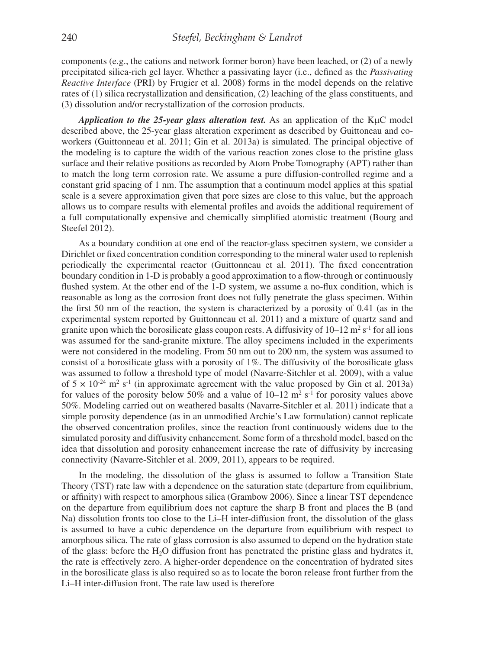components (e.g., the cations and network former boron) have been leached, or (2) of a newly precipitated silica-rich gel layer. Whether a passivating layer (i.e., defined as the *Passivating Reactive Interface* (PRI) by Frugier et al. 2008) forms in the model depends on the relative rates of  $(1)$  silica recrystallization and densification,  $(2)$  leaching of the glass constituents, and (3) dissolution and/or recrystallization of the corrosion products.

*Application to the 25-year glass alteration test.* As an application of the  $K\mu C$  model described above, the 25-year glass alteration experiment as described by Guittoneau and coworkers (Guittonneau et al. 2011; Gin et al. 2013a) is simulated. The principal objective of the modeling is to capture the width of the various reaction zones close to the pristine glass surface and their relative positions as recorded by Atom Probe Tomography (APT) rather than to match the long term corrosion rate. We assume a pure diffusion-controlled regime and a constant grid spacing of 1 nm. The assumption that a continuum model applies at this spatial scale is a severe approximation given that pore sizes are close to this value, but the approach allows us to compare results with elemental profiles and avoids the additional requirement of a full computationally expensive and chemically simplified atomistic treatment (Bourg and Steefel 2012).

As a boundary condition at one end of the reactor-glass specimen system, we consider a Dirichlet or fixed concentration condition corresponding to the mineral water used to replenish periodically the experimental reactor (Guittonneau et al. 2011). The fixed concentration boundary condition in 1-D is probably a good approximation to a flow-through or continuously flushed system. At the other end of the 1-D system, we assume a no-flux condition, which is reasonable as long as the corrosion front does not fully penetrate the glass specimen. Within the first 50 nm of the reaction, the system is characterized by a porosity of  $0.41$  (as in the experimental system reported by Guittonneau et al. 2011) and a mixture of quartz sand and granite upon which the borosilicate glass coupon rests. A diffusivity of  $10-12 \text{ m}^2 \text{ s}^{-1}$  for all ions was assumed for the sand-granite mixture. The alloy specimens included in the experiments were not considered in the modeling. From 50 nm out to 200 nm, the system was assumed to consist of a borosilicate glass with a porosity of  $1\%$ . The diffusivity of the borosilicate glass was assumed to follow a threshold type of model (Navarre-Sitchler et al. 2009), with a value of  $5 \times 10^{-24}$  m<sup>2</sup> s<sup>-1</sup> (in approximate agreement with the value proposed by Gin et al. 2013a) for values of the porosity below 50% and a value of  $10-12$  m<sup>2</sup> s<sup>-1</sup> for porosity values above 50%. Modeling carried out on weathered basalts (Navarre-Sitchler et al. 2011) indicate that a simple porosity dependence (as in an unmodified Archie's Law formulation) cannot replicate the observed concentration profiles, since the reaction front continuously widens due to the simulated porosity and diffusivity enhancement. Some form of a threshold model, based on the idea that dissolution and porosity enhancement increase the rate of diffusivity by increasing connectivity (Navarre-Sitchler et al. 2009, 2011), appears to be required.

In the modeling, the dissolution of the glass is assumed to follow a Transition State Theory (TST) rate law with a dependence on the saturation state (departure from equilibrium, or affinity) with respect to amorphous silica (Grambow 2006). Since a linear TST dependence on the departure from equilibrium does not capture the sharp B front and places the B (and Na) dissolution fronts too close to the Li–H inter-diffusion front, the dissolution of the glass is assumed to have a cubic dependence on the departure from equilibrium with respect to amorphous silica. The rate of glass corrosion is also assumed to depend on the hydration state of the glass: before the  $H_2O$  diffusion front has penetrated the pristine glass and hydrates it, the rate is effectively zero. A higher-order dependence on the concentration of hydrated sites in the borosilicate glass is also required so as to locate the boron release front further from the Li–H inter-diffusion front. The rate law used is therefore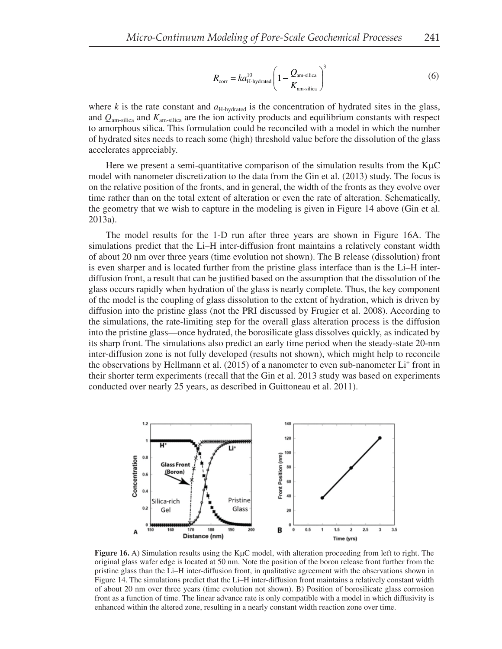$$
R_{\text{corr}} = ka_{\text{H-hydroated}}^{10} \left( 1 - \frac{Q_{\text{am-silica}}}{K_{\text{am-silica}}} \right)^3 \tag{6}
$$

where  $k$  is the rate constant and  $a_{H-hydrated}$  is the concentration of hydrated sites in the glass, and *Q*am-silica and *K*am-silica are the ion activity products and equilibrium constants with respect to amorphous silica. This formulation could be reconciled with a model in which the number of hydrated sites needs to reach some (high) threshold value before the dissolution of the glass accelerates appreciably.

Here we present a semi-quantitative comparison of the simulation results from the  $K\mu C$ model with nanometer discretization to the data from the Gin et al. (2013) study. The focus is on the relative position of the fronts, and in general, the width of the fronts as they evolve over time rather than on the total extent of alteration or even the rate of alteration. Schematically, the geometry that we wish to capture in the modeling is given in Figure 14 above (Gin et al. 2013a).

The model results for the 1-D run after three years are shown in Figure 16A. The simulations predict that the Li–H inter-diffusion front maintains a relatively constant width of about 20 nm over three years (time evolution not shown). The B release (dissolution) front is even sharper and is located further from the pristine glass interface than is the Li–H interdiffusion front, a result that can be justified based on the assumption that the dissolution of the glass occurs rapidly when hydration of the glass is nearly complete. Thus, the key component of the model is the coupling of glass dissolution to the extent of hydration, which is driven by diffusion into the pristine glass (not the PRI discussed by Frugier et al. 2008). According to the simulations, the rate-limiting step for the overall glass alteration process is the diffusion into the pristine glass—once hydrated, the borosilicate glass dissolves quickly, as indicated by its sharp front. The simulations also predict an early time period when the steady-state 20-nm inter-diffusion zone is not fully developed (results not shown), which might help to reconcile the observations by Hellmann et al.  $(2015)$  of a nanometer to even sub-nanometer Li<sup>+</sup> front in their shorter term experiments (recall that the Gin et al. 2013 study was based on experiments conducted over nearly 25 years, as described in Guittoneau et al. 2011).



**Figure 16.** A) Simulation results using the  $K\mu C$  model, with alteration proceeding from left to right. The original glass wafer edge is located at 50 nm. Note the position of the boron release front further from the pristine glass than the Li–H inter-diffusion front, in qualitative agreement with the observations shown in Figure 14. The simulations predict that the Li–H inter-diffusion front maintains a relatively constant width of about 20 nm over three years (time evolution not shown). B) Position of borosilicate glass corrosion front as a function of time. The linear advance rate is only compatible with a model in which diffusivity is enhanced within the altered zone, resulting in a nearly constant width reaction zone over time.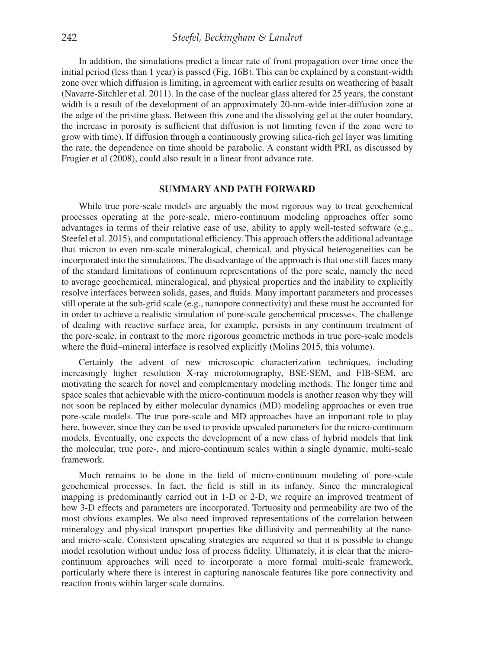In addition, the simulations predict a linear rate of front propagation over time once the initial period (less than 1 year) is passed (Fig. 16B). This can be explained by a constant-width zone over which diffusion is limiting, in agreement with earlier results on weathering of basalt (Navarre-Sitchler et al. 2011). In the case of the nuclear glass altered for 25 years, the constant width is a result of the development of an approximately 20-nm-wide inter-diffusion zone at the edge of the pristine glass. Between this zone and the dissolving gel at the outer boundary, the increase in porosity is sufficient that diffusion is not limiting (even if the zone were to grow with time). If diffusion through a continuously growing silica-rich gel layer was limiting the rate, the dependence on time should be parabolic. A constant width PRI, as discussed by Frugier et al (2008), could also result in a linear front advance rate.

## **SUMMARY AND PATH FORWARD**

While true pore-scale models are arguably the most rigorous way to treat geochemical processes operating at the pore-scale, micro-continuum modeling approaches offer some advantages in terms of their relative ease of use, ability to apply well-tested software (e.g., Steefel et al. 2015), and computational efficiency. This approach offers the additional advantage that micron to even nm-scale mineralogical, chemical, and physical heterogeneities can be incorporated into the simulations. The disadvantage of the approach is that one still faces many of the standard limitations of continuum representations of the pore scale, namely the need to average geochemical, mineralogical, and physical properties and the inability to explicitly resolve interfaces between solids, gases, and fluids. Many important parameters and processes still operate at the sub-grid scale (e.g., nanopore connectivity) and these must be accounted for in order to achieve a realistic simulation of pore-scale geochemical processes. The challenge of dealing with reactive surface area, for example, persists in any continuum treatment of the pore-scale, in contrast to the more rigorous geometric methods in true pore-scale models where the fluid–mineral interface is resolved explicitly (Molins 2015, this volume).

Certainly the advent of new microscopic characterization techniques, including increasingly higher resolution X-ray microtomography, BSE-SEM, and FIB-SEM, are motivating the search for novel and complementary modeling methods. The longer time and space scales that achievable with the micro-continuum models is another reason why they will not soon be replaced by either molecular dynamics (MD) modeling approaches or even true pore-scale models. The true pore-scale and MD approaches have an important role to play here, however, since they can be used to provide upscaled parameters for the micro-continuum models. Eventually, one expects the development of a new class of hybrid models that link the molecular, true pore-, and micro-continuum scales within a single dynamic, multi-scale framework.

Much remains to be done in the field of micro-continuum modeling of pore-scale geochemical processes. In fact, the field is still in its infancy. Since the mineralogical mapping is predominantly carried out in 1-D or 2-D, we require an improved treatment of how 3-D effects and parameters are incorporated. Tortuosity and permeability are two of the most obvious examples. We also need improved representations of the correlation between mineralogy and physical transport properties like diffusivity and permeability at the nanoand micro-scale. Consistent upscaling strategies are required so that it is possible to change model resolution without undue loss of process fidelity. Ultimately, it is clear that the microcontinuum approaches will need to incorporate a more formal multi-scale framework, particularly where there is interest in capturing nanoscale features like pore connectivity and reaction fronts within larger scale domains.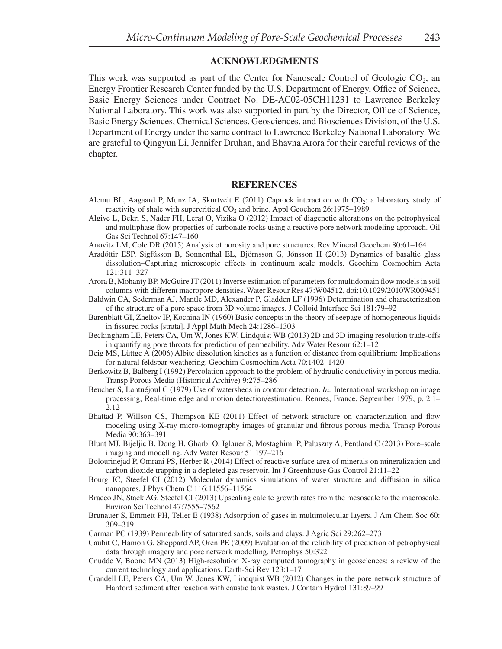#### **ACKNOWLEDGMENTS**

This work was supported as part of the Center for Nanoscale Control of Geologic  $CO<sub>2</sub>$ , an Energy Frontier Research Center funded by the U.S. Department of Energy, Office of Science, Basic Energy Sciences under Contract No. DE-AC02-05CH11231 to Lawrence Berkeley National Laboratory. This work was also supported in part by the Director, Office of Science, Basic Energy Sciences, Chemical Sciences, Geosciences, and Biosciences Division, of the U.S. Department of Energy under the same contract to Lawrence Berkeley National Laboratory. We are grateful to Qingyun Li, Jennifer Druhan, and Bhavna Arora for their careful reviews of the chapter.

# **REFERENCES**

- Alemu BL, Aagaard P, Munz IA, Skurtveit E (2011) Caprock interaction with  $CO_2$ : a laboratory study of reactivity of shale with supercritical  $CO<sub>2</sub>$  and brine. Appl Geochem 26:1975–1989
- Algive L, Bekri S, Nader FH, Lerat O, Vizika O (2012) Impact of diagenetic alterations on the petrophysical and multiphase flow properties of carbonate rocks using a reactive pore network modeling approach. Oil Gas Sci Technol 67:147–160
- Anovitz LM, Cole DR (2015) Analysis of porosity and pore structures. Rev Mineral Geochem 80:61–164
- Aradóttir ESP, Sigfússon B, Sonnenthal EL, Björnsson G, Jónsson H (2013) Dynamics of basaltic glass dissolution–Capturing microscopic effects in continuum scale models. Geochim Cosmochim Acta 121:311–327
- Arora B, Mohanty BP, McGuire JT (2011) Inverse estimation of parameters for multidomain flow models in soil columns with different macropore densities. Water Resour Res 47:W04512, doi:10.1029/2010WR009451
- Baldwin CA, Sederman AJ, Mantle MD, Alexander P, Gladden LF (1996) Determination and characterization of the structure of a pore space from 3D volume images. J Colloid Interface Sci 181:79–92
- Barenblatt GI, Zheltov IP, Kochina IN (1960) Basic concepts in the theory of seepage of homogeneous liquids in fissured rocks [strata]. J Appl Math Mech 24:1286–1303
- Beckingham LE, Peters CA, Um W, Jones KW, Lindquist WB (2013) 2D and 3D imaging resolution trade-offs in quantifying pore throats for prediction of permeability. Adv Water Resour 62:1–12
- Beig MS, Lüttge A (2006) Albite dissolution kinetics as a function of distance from equilibrium: Implications for natural feldspar weathering. Geochim Cosmochim Acta 70:1402–1420
- Berkowitz B, Balberg I (1992) Percolation approach to the problem of hydraulic conductivity in porous media. Transp Porous Media (Historical Archive) 9:275–286
- Beucher S, Lantuéjoul C (1979) Use of watersheds in contour detection. *In:* International workshop on image processing, Real-time edge and motion detection/estimation, Rennes, France, September 1979, p. 2.1– 2.12
- Bhattad P, Willson CS, Thompson KE (2011) Effect of network structure on characterization and flow modeling using X-ray micro-tomography images of granular and fibrous porous media. Transp Porous Media 90:363–391
- Blunt MJ, Bijeljic B, Dong H, Gharbi O, Iglauer S, Mostaghimi P, Paluszny A, Pentland C (2013) Pore–scale imaging and modelling. Adv Water Resour 51:197–216
- Bolourinejad P, Omrani PS, Herber R (2014) Effect of reactive surface area of minerals on mineralization and carbon dioxide trapping in a depleted gas reservoir. Int J Greenhouse Gas Control 21:11–22
- Bourg IC, Steefel CI (2012) Molecular dynamics simulations of water structure and diffusion in silica nanopores. J Phys Chem C 116:11556–11564
- Bracco JN, Stack AG, Steefel CI (2013) Upscaling calcite growth rates from the mesoscale to the macroscale. Environ Sci Technol 47:7555–7562
- Brunauer S, Emmett PH, Teller E (1938) Adsorption of gases in multimolecular layers. J Am Chem Soc 60: 309–319
- Carman PC (1939) Permeability of saturated sands, soils and clays. J Agric Sci 29:262–273
- Caubit C, Hamon G, Sheppard AP, Oren PE (2009) Evaluation of the reliability of prediction of petrophysical data through imagery and pore network modelling. Petrophys 50:322
- Cnudde V, Boone MN (2013) High-resolution X-ray computed tomography in geosciences: a review of the current technology and applications. Earth-Sci Rev 123:1–17
- Crandell LE, Peters CA, Um W, Jones KW, Lindquist WB (2012) Changes in the pore network structure of Hanford sediment after reaction with caustic tank wastes. J Contam Hydrol 131:89–99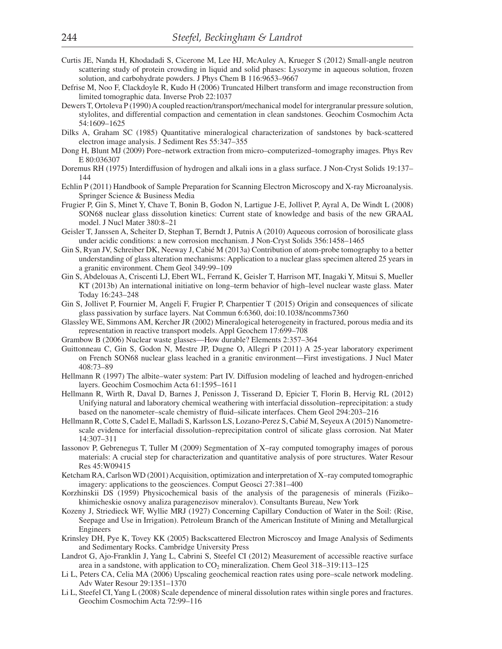- Curtis JE, Nanda H, Khodadadi S, Cicerone M, Lee HJ, McAuley A, Krueger S (2012) Small-angle neutron scattering study of protein crowding in liquid and solid phases: Lysozyme in aqueous solution, frozen solution, and carbohydrate powders. J Phys Chem B 116:9653–9667
- Defrise M, Noo F, Clackdoyle R, Kudo H (2006) Truncated Hilbert transform and image reconstruction from limited tomographic data. Inverse Prob 22:1037
- Dewers T, Ortoleva P (1990) A coupled reaction/transport/mechanical model for intergranular pressure solution, stylolites, and differential compaction and cementation in clean sandstones. Geochim Cosmochim Acta 54:1609–1625
- Dilks A, Graham SC (1985) Quantitative mineralogical characterization of sandstones by back-scattered electron image analysis. J Sediment Res 55:347–355
- Dong H, Blunt MJ (2009) Pore–network extraction from micro–computerized–tomography images. Phys Rev E 80:036307
- Doremus RH (1975) Interdiffusion of hydrogen and alkali ions in a glass surface. J Non-Cryst Solids 19:137– 144
- Echlin P (2011) Handbook of Sample Preparation for Scanning Electron Microscopy and X-ray Microanalysis. Springer Science & Business Media
- Frugier P, Gin S, Minet Y, Chave T, Bonin B, Godon N, Lartigue J-E, Jollivet P, Ayral A, De Windt L (2008) SON68 nuclear glass dissolution kinetics: Current state of knowledge and basis of the new GRAAL model. J Nucl Mater 380:8–21
- Geisler T, Janssen A, Scheiter D, Stephan T, Berndt J, Putnis A (2010) Aqueous corrosion of borosilicate glass under acidic conditions: a new corrosion mechanism. J Non-Cryst Solids 356:1458–1465
- Gin S, Ryan JV, Schreiber DK, Neeway J, Cabié M (2013a) Contribution of atom-probe tomography to a better understanding of glass alteration mechanisms: Application to a nuclear glass specimen altered 25 years in a granitic environment. Chem Geol 349:99–109
- Gin S, Abdelouas A, Criscenti LJ, Ebert WL, Ferrand K, Geisler T, Harrison MT, Inagaki Y, Mitsui S, Mueller KT (2013b) An international initiative on long–term behavior of high–level nuclear waste glass. Mater Today 16:243–248
- Gin S, Jollivet P, Fournier M, Angeli F, Frugier P, Charpentier T (2015) Origin and consequences of silicate glass passivation by surface layers. Nat Commun 6:6360, doi:10.1038/ncomms7360
- Glassley WE, Simmons AM, Kercher JR (2002) Mineralogical heterogeneity in fractured, porous media and its representation in reactive transport models. Appl Geochem 17:699–708
- Grambow B (2006) Nuclear waste glasses—How durable? Elements 2:357–364
- Guittonneau C, Gin S, Godon N, Mestre JP, Dugne O, Allegri P (2011) A 25-year laboratory experiment on French SON68 nuclear glass leached in a granitic environment—First investigations. J Nucl Mater 408:73–89
- Hellmann R (1997) The albite–water system: Part IV. Diffusion modeling of leached and hydrogen-enriched layers. Geochim Cosmochim Acta 61:1595–1611
- Hellmann R, Wirth R, Daval D, Barnes J, Penisson J, Tisserand D, Epicier T, Florin B, Hervig RL (2012) Unifying natural and laboratory chemical weathering with interfacial dissolution–reprecipitation: a study based on the nanometer–scale chemistry of fluid–silicate interfaces. Chem Geol 294:203–216
- Hellmann R, Cotte S, Cadel E, Malladi S, Karlsson LS, Lozano-Perez S, Cabié M, Seyeux A (2015) Nanometrescale evidence for interfacial dissolution–reprecipitation control of silicate glass corrosion. Nat Mater 14:307–311
- Iassonov P, Gebrenegus T, Tuller M (2009) Segmentation of X–ray computed tomography images of porous materials: A crucial step for characterization and quantitative analysis of pore structures. Water Resour Res 45:W09415
- Ketcham RA, Carlson WD (2001) Acquisition, optimization and interpretation of X–ray computed tomographic imagery: applications to the geosciences. Comput Geosci 27:381–400
- Korzhinskii DS (1959) Physicochemical basis of the analysis of the paragenesis of minerals (Fiziko– khimicheskie osnovy analiza paragenezisov mineralov). Consultants Bureau, New York
- Kozeny J, Striedieck WF, Wyllie MRJ (1927) Concerning Capillary Conduction of Water in the Soil: (Rise, Seepage and Use in Irrigation). Petroleum Branch of the American Institute of Mining and Metallurgical Engineers
- Krinsley DH, Pye K, Tovey KK (2005) Backscattered Electron Microscoy and Image Analysis of Sediments and Sedimentary Rocks. Cambridge University Press
- Landrot G, Ajo-Franklin J, Yang L, Cabrini S, Steefel CI (2012) Measurement of accessible reactive surface area in a sandstone, with application to  $CO<sub>2</sub>$  mineralization. Chem Geol 318–319:113–125
- Li L, Peters CA, Celia MA (2006) Upscaling geochemical reaction rates using pore–scale network modeling. Adv Water Resour 29:1351–1370
- Li L, Steefel CI, Yang L (2008) Scale dependence of mineral dissolution rates within single pores and fractures. Geochim Cosmochim Acta 72:99–116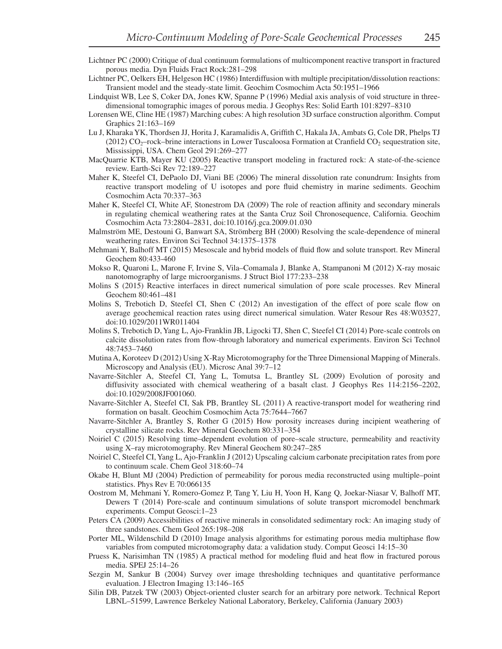- Lichtner PC (2000) Critique of dual continuum formulations of multicomponent reactive transport in fractured porous media. Dyn Fluids Fract Rock:281–298
- Lichtner PC, Oelkers EH, Helgeson HC (1986) Interdiffusion with multiple precipitation/dissolution reactions: Transient model and the steady-state limit. Geochim Cosmochim Acta 50:1951–1966
- Lindquist WB, Lee S, Coker DA, Jones KW, Spanne P (1996) Medial axis analysis of void structure in threedimensional tomographic images of porous media. J Geophys Res: Solid Earth 101:8297–8310
- Lorensen WE, Cline HE (1987) Marching cubes: A high resolution 3D surface construction algorithm. Comput Graphics 21:163–169
- Lu J, Kharaka YK, Thordsen JJ, Horita J, Karamalidis A, Griffith C, Hakala JA, Ambats G, Cole DR, Phelps TJ (2012)  $CO<sub>2</sub>$ –rock–brine interactions in Lower Tuscaloosa Formation at Cranfield  $CO<sub>2</sub>$  sequestration site, Mississippi, USA. Chem Geol 291:269–277
- MacQuarrie KTB, Mayer KU (2005) Reactive transport modeling in fractured rock: A state-of-the-science review. Earth-Sci Rev 72:189–227
- Maher K, Steefel CI, DePaolo DJ, Viani BE (2006) The mineral dissolution rate conundrum: Insights from reactive transport modeling of U isotopes and pore fluid chemistry in marine sediments. Geochim Cosmochim Acta 70:337–363
- Maher K, Steefel CI, White AF, Stonestrom DA (2009) The role of reaction affinity and secondary minerals in regulating chemical weathering rates at the Santa Cruz Soil Chronosequence, California. Geochim Cosmochim Acta 73:2804–2831, doi:10.1016/j.gca.2009.01.030
- Malmström ME, Destouni G, Banwart SA, Strömberg BH (2000) Resolving the scale-dependence of mineral weathering rates. Environ Sci Technol 34:1375–1378
- Mehmani Y, Balhoff MT (2015) Mesoscale and hybrid models of fluid flow and solute transport. Rev Mineral Geochem 80:433-460
- Mokso R, Quaroni L, Marone F, Irvine S, Vila–Comamala J, Blanke A, Stampanoni M (2012) X-ray mosaic nanotomography of large microorganisms. J Struct Biol 177:233–238
- Molins S (2015) Reactive interfaces in direct numerical simulation of pore scale processes. Rev Mineral Geochem 80:461–481
- Molins S, Trebotich D, Steefel CI, Shen C (2012) An investigation of the effect of pore scale flow on average geochemical reaction rates using direct numerical simulation. Water Resour Res 48:W03527, doi:10.1029/2011WR011404
- Molins S, Trebotich D, Yang L, Ajo-Franklin JB, Ligocki TJ, Shen C, Steefel CI (2014) Pore-scale controls on calcite dissolution rates from flow-through laboratory and numerical experiments. Environ Sci Technol 48:7453–7460
- Mutina A, Koroteev D (2012) Using X-Ray Microtomography for the Three Dimensional Mapping of Minerals. Microscopy and Analysis (EU). Microsc Anal 39:7–12
- Navarre-Sitchler A, Steefel CI, Yang L, Tomutsa L, Brantley SL (2009) Evolution of porosity and diffusivity associated with chemical weathering of a basalt clast. J Geophys Res 114:2156–2202, doi:10.1029/2008JF001060.
- Navarre-Sitchler A, Steefel CI, Sak PB, Brantley SL (2011) A reactive-transport model for weathering rind formation on basalt. Geochim Cosmochim Acta 75:7644–7667
- Navarre-Sitchler A, Brantley S, Rother G (2015) How porosity increases during incipient weathering of crystalline silicate rocks. Rev Mineral Geochem 80:331–354
- Noiriel C (2015) Resolving time–dependent evolution of pore–scale structure, permeability and reactivity using X–ray microtomography. Rev Mineral Geochem 80:247–285
- Noiriel C, Steefel CI, Yang L, Ajo-Franklin J (2012) Upscaling calcium carbonate precipitation rates from pore to continuum scale. Chem Geol 318:60–74
- Okabe H, Blunt MJ (2004) Prediction of permeability for porous media reconstructed using multiple–point statistics. Phys Rev E 70:066135
- Oostrom M, Mehmani Y, Romero-Gomez P, Tang Y, Liu H, Yoon H, Kang Q, Joekar-Niasar V, Balhoff MT, Dewers T (2014) Pore-scale and continuum simulations of solute transport micromodel benchmark experiments. Comput Geosci:1–23
- Peters CA (2009) Accessibilities of reactive minerals in consolidated sedimentary rock: An imaging study of three sandstones. Chem Geol 265:198–208
- Porter ML, Wildenschild D (2010) Image analysis algorithms for estimating porous media multiphase flow variables from computed microtomography data: a validation study. Comput Geosci 14:15–30
- Pruess K, Narisimhan TN (1985) A practical method for modeling fluid and heat flow in fractured porous media. SPEJ 25:14–26
- Sezgin M, Sankur B (2004) Survey over image thresholding techniques and quantitative performance evaluation. J Electron Imaging 13:146–165
- Silin DB, Patzek TW (2003) Object-oriented cluster search for an arbitrary pore network. Technical Report LBNL–51599, Lawrence Berkeley National Laboratory, Berkeley, California (January 2003)